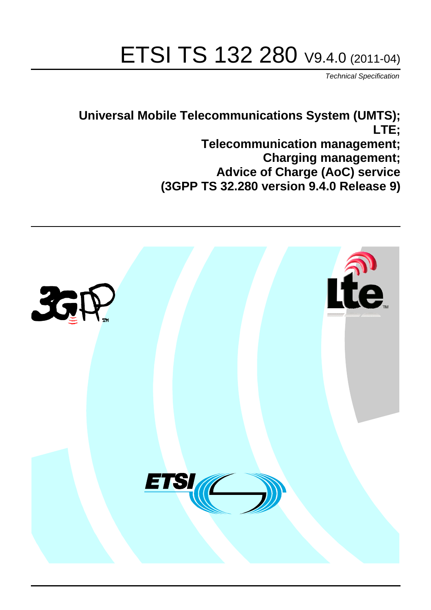# ETSI TS 132 280 V9.4.0 (2011-04)

*Technical Specification*

**Universal Mobile Telecommunications System (UMTS); LTE; Telecommunication management; Charging management; Advice of Charge (AoC) service (3GPP TS 32.280 version 9.4.0 Release 9)**

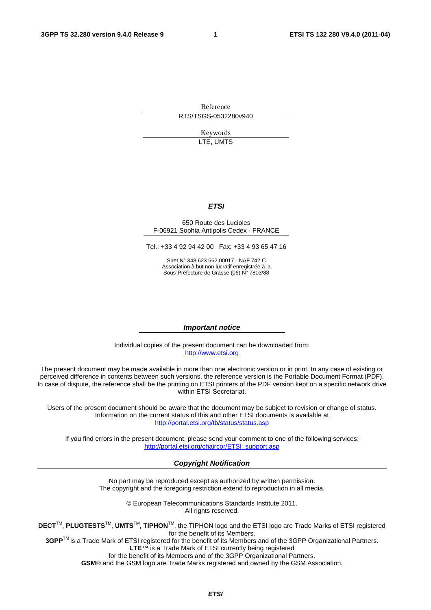Reference RTS/TSGS-0532280v940

> Keywords LTE, UMTS

#### *ETSI*

#### 650 Route des Lucioles F-06921 Sophia Antipolis Cedex - FRANCE

Tel.: +33 4 92 94 42 00 Fax: +33 4 93 65 47 16

Siret N° 348 623 562 00017 - NAF 742 C Association à but non lucratif enregistrée à la Sous-Préfecture de Grasse (06) N° 7803/88

#### *Important notice*

Individual copies of the present document can be downloaded from: [http://www.etsi.org](http://www.etsi.org/)

The present document may be made available in more than one electronic version or in print. In any case of existing or perceived difference in contents between such versions, the reference version is the Portable Document Format (PDF). In case of dispute, the reference shall be the printing on ETSI printers of the PDF version kept on a specific network drive within ETSI Secretariat.

Users of the present document should be aware that the document may be subject to revision or change of status. Information on the current status of this and other ETSI documents is available at <http://portal.etsi.org/tb/status/status.asp>

If you find errors in the present document, please send your comment to one of the following services: [http://portal.etsi.org/chaircor/ETSI\\_support.asp](http://portal.etsi.org/chaircor/ETSI_support.asp)

#### *Copyright Notification*

No part may be reproduced except as authorized by written permission. The copyright and the foregoing restriction extend to reproduction in all media.

> © European Telecommunications Standards Institute 2011. All rights reserved.

**DECT**TM, **PLUGTESTS**TM, **UMTS**TM, **TIPHON**TM, the TIPHON logo and the ETSI logo are Trade Marks of ETSI registered for the benefit of its Members.

**3GPP**TM is a Trade Mark of ETSI registered for the benefit of its Members and of the 3GPP Organizational Partners. **LTE**™ is a Trade Mark of ETSI currently being registered

for the benefit of its Members and of the 3GPP Organizational Partners.

**GSM**® and the GSM logo are Trade Marks registered and owned by the GSM Association.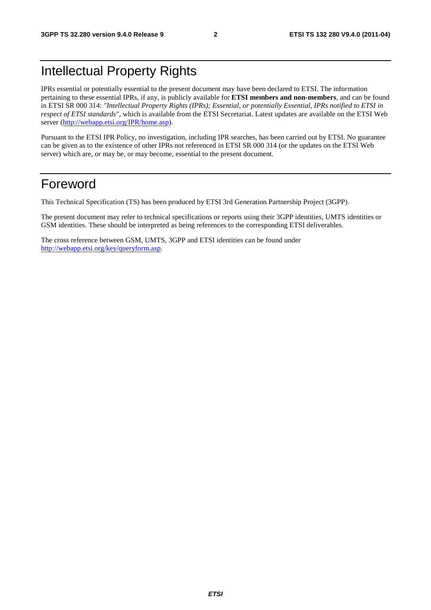# Intellectual Property Rights

IPRs essential or potentially essential to the present document may have been declared to ETSI. The information pertaining to these essential IPRs, if any, is publicly available for **ETSI members and non-members**, and can be found in ETSI SR 000 314: *"Intellectual Property Rights (IPRs); Essential, or potentially Essential, IPRs notified to ETSI in respect of ETSI standards"*, which is available from the ETSI Secretariat. Latest updates are available on the ETSI Web server ([http://webapp.etsi.org/IPR/home.asp\)](http://webapp.etsi.org/IPR/home.asp).

Pursuant to the ETSI IPR Policy, no investigation, including IPR searches, has been carried out by ETSI. No guarantee can be given as to the existence of other IPRs not referenced in ETSI SR 000 314 (or the updates on the ETSI Web server) which are, or may be, or may become, essential to the present document.

## Foreword

This Technical Specification (TS) has been produced by ETSI 3rd Generation Partnership Project (3GPP).

The present document may refer to technical specifications or reports using their 3GPP identities, UMTS identities or GSM identities. These should be interpreted as being references to the corresponding ETSI deliverables.

The cross reference between GSM, UMTS, 3GPP and ETSI identities can be found under [http://webapp.etsi.org/key/queryform.asp.](http://webapp.etsi.org/key/queryform.asp)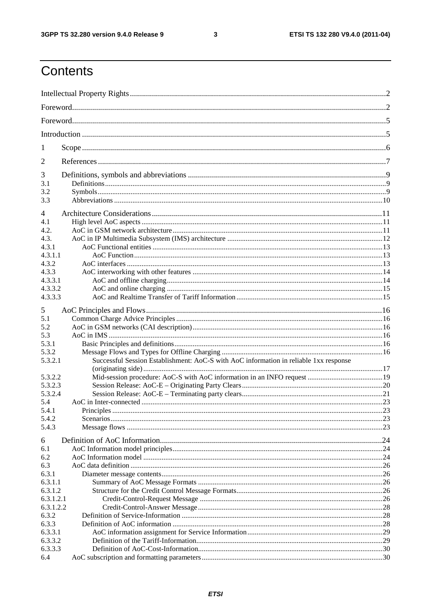$\mathbf{3}$ 

# Contents

| 1                  |                                                                                       |  |
|--------------------|---------------------------------------------------------------------------------------|--|
| 2                  |                                                                                       |  |
| 3                  |                                                                                       |  |
| 3.1                |                                                                                       |  |
| 3.2                |                                                                                       |  |
| 3.3                |                                                                                       |  |
| $\overline{4}$     |                                                                                       |  |
| 4.1                |                                                                                       |  |
| 4.2.               |                                                                                       |  |
| 4.3.               |                                                                                       |  |
| 4.3.1              |                                                                                       |  |
| 4.3.1.1            |                                                                                       |  |
| 4.3.2              |                                                                                       |  |
| 4.3.3              |                                                                                       |  |
| 4.3.3.1            |                                                                                       |  |
| 4.3.3.2            |                                                                                       |  |
| 4.3.3.3            |                                                                                       |  |
| 5                  |                                                                                       |  |
| 5.1                |                                                                                       |  |
| 5.2                |                                                                                       |  |
| 5.3                |                                                                                       |  |
| 5.3.1              |                                                                                       |  |
| 5.3.2              |                                                                                       |  |
| 5.3.2.1            | Successful Session Establishment: AoC-S with AoC information in reliable 1xx response |  |
|                    |                                                                                       |  |
| 5.3.2.2            |                                                                                       |  |
| 5.3.2.3            |                                                                                       |  |
| 5.3.2.4            |                                                                                       |  |
| 5.4                |                                                                                       |  |
| 5.4.1              | <b>Principles</b>                                                                     |  |
| 5.4.2              |                                                                                       |  |
| 5.4.3              |                                                                                       |  |
| 6                  |                                                                                       |  |
| 6.1                |                                                                                       |  |
| 6.2                |                                                                                       |  |
| 6.3                |                                                                                       |  |
| 6.3.1              |                                                                                       |  |
| 6.3.1.1            |                                                                                       |  |
| 6.3.1.2            |                                                                                       |  |
| 6.3.1.2.1          |                                                                                       |  |
| 6.3.1.2.2          |                                                                                       |  |
| 6.3.2              |                                                                                       |  |
| 6.3.3              |                                                                                       |  |
| 6.3.3.1            |                                                                                       |  |
| 6.3.3.2<br>6.3.3.3 |                                                                                       |  |
| 6.4                |                                                                                       |  |
|                    |                                                                                       |  |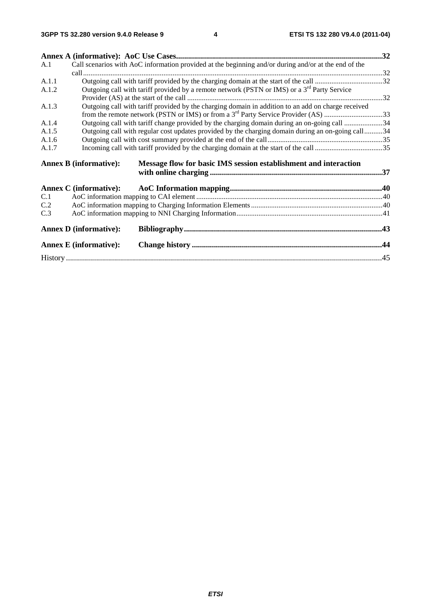| A.1   |                               | Call scenarios with AoC information provided at the beginning and/or during and/or at the end of the |  |
|-------|-------------------------------|------------------------------------------------------------------------------------------------------|--|
|       |                               |                                                                                                      |  |
| A.1.1 |                               |                                                                                                      |  |
| A.1.2 |                               | Outgoing call with tariff provided by a remote network (PSTN or IMS) or a $3rd$ Party Service        |  |
|       |                               |                                                                                                      |  |
| A.1.3 |                               | Outgoing call with tariff provided by the charging domain in addition to an add on charge received   |  |
|       |                               | from the remote network (PSTN or IMS) or from a 3 <sup>rd</sup> Party Service Provider (AS) 33       |  |
| A.1.4 |                               | Outgoing call with tariff change provided by the charging domain during an on-going call 34          |  |
| A.1.5 |                               | Outgoing call with regular cost updates provided by the charging domain during an on-going call34    |  |
| A.1.6 |                               |                                                                                                      |  |
| A.1.7 |                               |                                                                                                      |  |
|       | <b>Annex B (informative):</b> | Message flow for basic IMS session establishment and interaction                                     |  |
|       |                               |                                                                                                      |  |
|       |                               |                                                                                                      |  |
| C.1   |                               |                                                                                                      |  |
| C.2   |                               |                                                                                                      |  |
| C.3   |                               |                                                                                                      |  |
|       | <b>Annex D</b> (informative): |                                                                                                      |  |
|       | <b>Annex E</b> (informative): |                                                                                                      |  |
|       |                               |                                                                                                      |  |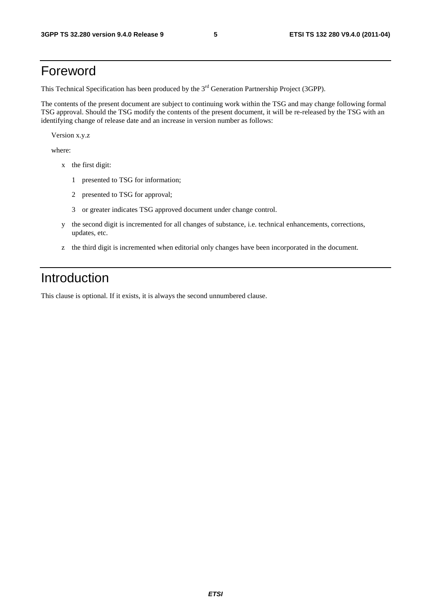# Foreword

This Technical Specification has been produced by the 3<sup>rd</sup> Generation Partnership Project (3GPP).

The contents of the present document are subject to continuing work within the TSG and may change following formal TSG approval. Should the TSG modify the contents of the present document, it will be re-released by the TSG with an identifying change of release date and an increase in version number as follows:

Version x.y.z

where:

- x the first digit:
	- 1 presented to TSG for information;
	- 2 presented to TSG for approval;
	- 3 or greater indicates TSG approved document under change control.
- y the second digit is incremented for all changes of substance, i.e. technical enhancements, corrections, updates, etc.
- z the third digit is incremented when editorial only changes have been incorporated in the document.

# Introduction

This clause is optional. If it exists, it is always the second unnumbered clause.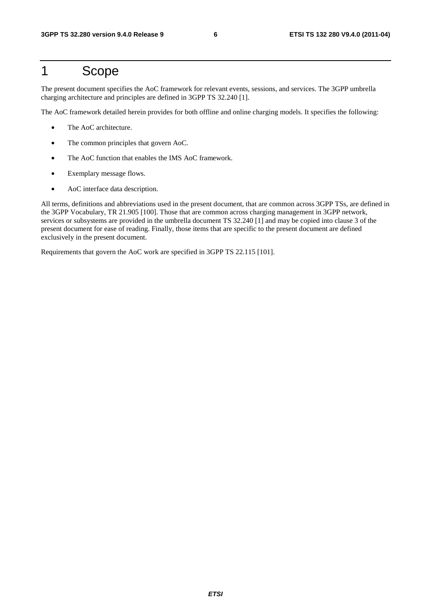# 1 Scope

The present document specifies the AoC framework for relevant events, sessions, and services. The 3GPP umbrella charging architecture and principles are defined in 3GPP TS 32.240 [1].

The AoC framework detailed herein provides for both offline and online charging models. It specifies the following:

- The AoC architecture.
- The common principles that govern AoC.
- The AoC function that enables the IMS AoC framework.
- Exemplary message flows.
- AoC interface data description.

All terms, definitions and abbreviations used in the present document, that are common across 3GPP TSs, are defined in the 3GPP Vocabulary, TR 21.905 [100]. Those that are common across charging management in 3GPP network, services or subsystems are provided in the umbrella document TS 32.240 [1] and may be copied into clause 3 of the present document for ease of reading. Finally, those items that are specific to the present document are defined exclusively in the present document.

Requirements that govern the AoC work are specified in 3GPP TS 22.115 [101].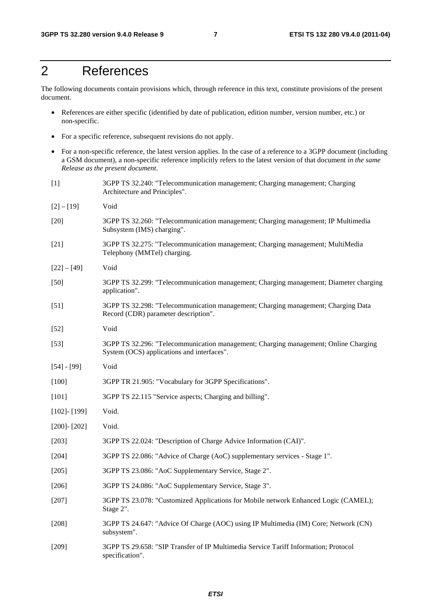# 2 References

The following documents contain provisions which, through reference in this text, constitute provisions of the present document.

- References are either specific (identified by date of publication, edition number, version number, etc.) or non-specific.
- For a specific reference, subsequent revisions do not apply.
- For a non-specific reference, the latest version applies. In the case of a reference to a 3GPP document (including a GSM document), a non-specific reference implicitly refers to the latest version of that document *in the same Release as the present document*.

| $[1]$             | 3GPP TS 32.240: "Telecommunication management; Charging management; Charging<br>Architecture and Principles".                     |
|-------------------|-----------------------------------------------------------------------------------------------------------------------------------|
| $[2] - [19]$      | Void                                                                                                                              |
| $[20]$            | 3GPP TS 32.260: "Telecommunication management; Charging management; IP Multimedia<br>Subsystem (IMS) charging".                   |
| $[21]$            | 3GPP TS 32.275: "Telecommunication management; Charging management; MultiMedia<br>Telephony (MMTel) charging.                     |
| $[22] - [49]$     | Void                                                                                                                              |
| $[50]$            | 3GPP TS 32.299: "Telecommunication management; Charging management; Diameter charging<br>application".                            |
| $[51]$            | 3GPP TS 32.298: "Telecommunication management; Charging management; Charging Data<br>Record (CDR) parameter description".         |
| $[52]$            | Void                                                                                                                              |
| $[53]$            | 3GPP TS 32.296: "Telecommunication management; Charging management; Online Charging<br>System (OCS) applications and interfaces". |
| $[54] - [99]$     | Void                                                                                                                              |
| $[100]$           | 3GPP TR 21.905: "Vocabulary for 3GPP Specifications".                                                                             |
| $[101]$           | 3GPP TS 22.115 "Service aspects; Charging and billing".                                                                           |
| $[102]$ - $[199]$ | Void.                                                                                                                             |
| $[200]$ - $[202]$ | Void.                                                                                                                             |
| $[203]$           | 3GPP TS 22.024: "Description of Charge Advice Information (CAI)".                                                                 |
| $[204]$           | 3GPP TS 22.086: "Advice of Charge (AoC) supplementary services - Stage 1".                                                        |
| $[205]$           | 3GPP TS 23.086: "AoC Supplementary Service, Stage 2".                                                                             |
| $[206]$           | 3GPP TS 24.086: "AoC Supplementary Service, Stage 3".                                                                             |
| [207]             | 3GPP TS 23.078: "Customized Applications for Mobile network Enhanced Logic (CAMEL);<br>Stage 2".                                  |
| $[208]$           | 3GPP TS 24.647: "Advice Of Charge (AOC) using IP Multimedia (IM) Core; Network (CN)<br>subsystem".                                |
| $[209]$           | 3GPP TS 29.658: "SIP Transfer of IP Multimedia Service Tariff Information; Protocol<br>specification".                            |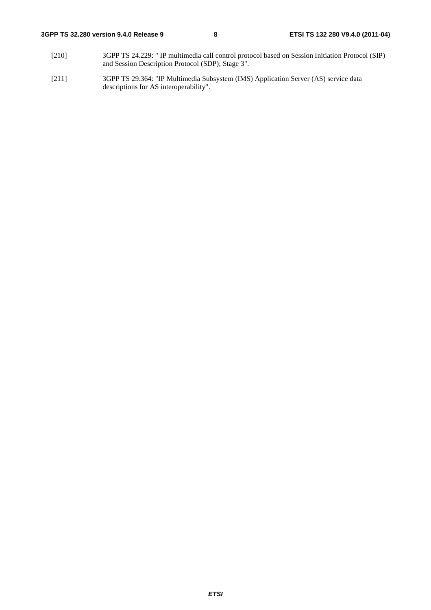- [210] 3GPP TS 24.229: " IP multimedia call control protocol based on Session Initiation Protocol (SIP) and Session Description Protocol (SDP); Stage 3".
- [211] 3GPP TS 29.364: "IP Multimedia Subsystem (IMS) Application Server (AS) service data descriptions for AS interoperability".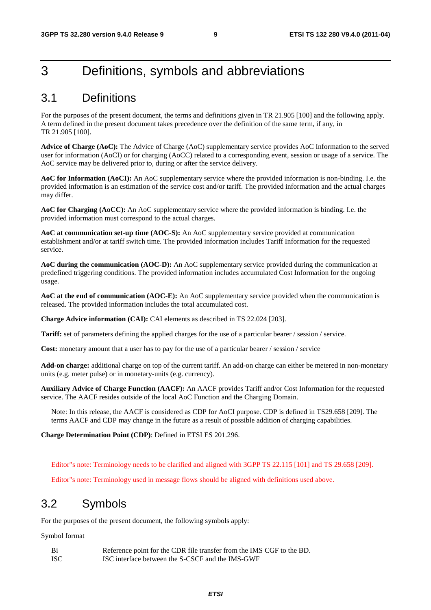# 3 Definitions, symbols and abbreviations

### 3.1 Definitions

For the purposes of the present document, the terms and definitions given in TR 21.905 [100] and the following apply. A term defined in the present document takes precedence over the definition of the same term, if any, in TR 21.905 [100].

**Advice of Charge (AoC):** The Advice of Charge (AoC) supplementary service provides AoC Information to the served user for information (AoCI) or for charging (AoCC) related to a corresponding event, session or usage of a service. The AoC service may be delivered prior to, during or after the service delivery.

**AoC for Information (AoCI):** An AoC supplementary service where the provided information is non-binding. I.e. the provided information is an estimation of the service cost and/or tariff. The provided information and the actual charges may differ.

**AoC for Charging (AoCC):** An AoC supplementary service where the provided information is binding. I.e. the provided information must correspond to the actual charges.

**AoC at communication set-up time (AOC-S):** An AoC supplementary service provided at communication establishment and/or at tariff switch time. The provided information includes Tariff Information for the requested service.

**AoC during the communication (AOC-D):** An AoC supplementary service provided during the communication at predefined triggering conditions. The provided information includes accumulated Cost Information for the ongoing usage.

**AoC at the end of communication (AOC-E):** An AoC supplementary service provided when the communication is released. The provided information includes the total accumulated cost.

**Charge Advice information (CAI):** CAI elements as described in TS 22.024 [203].

**Tariff:** set of parameters defining the applied charges for the use of a particular bearer / session / service.

**Cost:** monetary amount that a user has to pay for the use of a particular bearer / session / service

**Add-on charge:** additional charge on top of the current tariff. An add-on charge can either be metered in non-monetary units (e.g. meter pulse) or in monetary-units (e.g. currency).

**Auxiliary Advice of Charge Function (AACF):** An AACF provides Tariff and/or Cost Information for the requested service. The AACF resides outside of the local AoC Function and the Charging Domain.

Note: In this release, the AACF is considered as CDP for AoCI purpose. CDP is defined in TS29.658 [209]. The terms AACF and CDP may change in the future as a result of possible addition of charging capabilities.

**Charge Determination Point (CDP)**: Defined in ETSI ES 201.296.

Editor"s note: Terminology needs to be clarified and aligned with 3GPP TS 22.115 [101] and TS 29.658 [209].

Editor"s note: Terminology used in message flows should be aligned with definitions used above.

### 3.2 Symbols

For the purposes of the present document, the following symbols apply:

Symbol format

| - Bi  | Reference point for the CDR file transfer from the IMS CGF to the BD. |
|-------|-----------------------------------------------------------------------|
| - ISC | ISC interface between the S-CSCF and the IMS-GWF                      |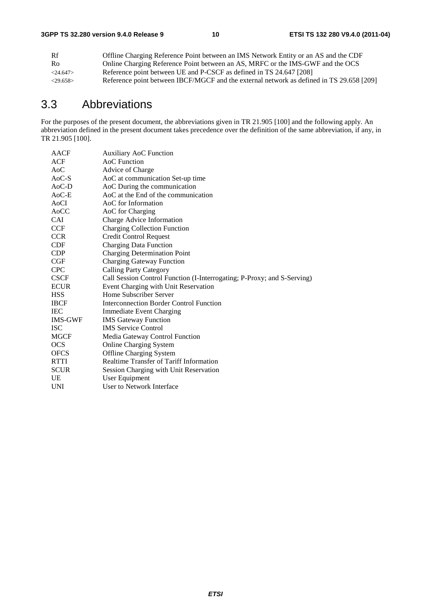| Rf             | Offline Charging Reference Point between an IMS Network Entity or an AS and the CDF      |
|----------------|------------------------------------------------------------------------------------------|
| R <sub>0</sub> | Online Charging Reference Point between an AS, MRFC or the IMS-GWF and the OCS           |
| $<$ 24.647>    | Reference point between UE and P-CSCF as defined in TS 24.647 [208]                      |
| $<$ 29.658>    | Reference point between IBCF/MGCF and the external network as defined in TS 29.658 [209] |

# 3.3 Abbreviations

For the purposes of the present document, the abbreviations given in TR 21.905 [100] and the following apply. An abbreviation defined in the present document takes precedence over the definition of the same abbreviation, if any, in TR 21.905 [100].

| AACF             | <b>Auxiliary AoC Function</b>                                           |
|------------------|-------------------------------------------------------------------------|
| <b>ACF</b>       | AoC Function                                                            |
| A <sub>0</sub> C | Advice of Charge                                                        |
| $AoC-S$          | AoC at communication Set-up time                                        |
| AoC-D            | AoC During the communication                                            |
| $AoC-E$          | AoC at the End of the communication                                     |
| AoCI             | AoC for Information                                                     |
| AoCC             | AoC for Charging                                                        |
| <b>CAI</b>       | Charge Advice Information                                               |
| <b>CCF</b>       | <b>Charging Collection Function</b>                                     |
| <b>CCR</b>       | <b>Credit Control Request</b>                                           |
| <b>CDF</b>       | <b>Charging Data Function</b>                                           |
| <b>CDP</b>       | <b>Charging Determination Point</b>                                     |
| CGF              | <b>Charging Gateway Function</b>                                        |
| <b>CPC</b>       | <b>Calling Party Category</b>                                           |
| <b>CSCF</b>      | Call Session Control Function (I-Interrogating; P-Proxy; and S-Serving) |
| <b>ECUR</b>      | Event Charging with Unit Reservation                                    |
| <b>HSS</b>       | Home Subscriber Server                                                  |
| <b>IBCF</b>      | <b>Interconnection Border Control Function</b>                          |
| <b>IEC</b>       | <b>Immediate Event Charging</b>                                         |
| <b>IMS-GWF</b>   | <b>IMS</b> Gateway Function                                             |
| <b>ISC</b>       | <b>IMS</b> Service Control                                              |
| <b>MGCF</b>      | Media Gateway Control Function                                          |
| <b>OCS</b>       | <b>Online Charging System</b>                                           |
| <b>OFCS</b>      | <b>Offline Charging System</b>                                          |
| <b>RTTI</b>      | Realtime Transfer of Tariff Information                                 |
| <b>SCUR</b>      | Session Charging with Unit Reservation                                  |
| UE               | User Equipment                                                          |
| UNI              | User to Network Interface                                               |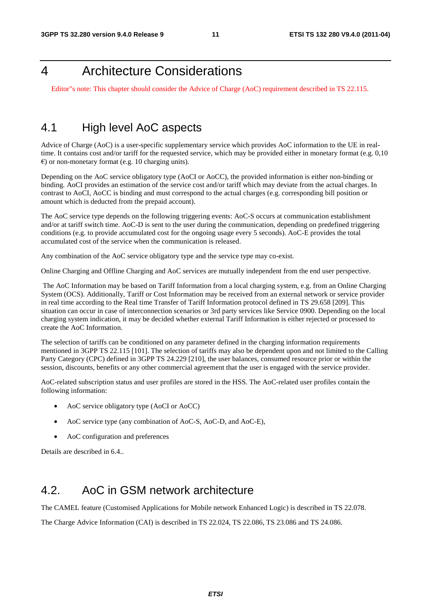# 4 Architecture Considerations

Editor"s note: This chapter should consider the Advice of Charge (AoC) requirement described in TS 22.115.

### 4.1 High level AoC aspects

Advice of Charge (AoC) is a user-specific supplementary service which provides AoC information to the UE in realtime. It contains cost and/or tariff for the requested service, which may be provided either in monetary format (e.g. 0,10  $\epsilon$ ) or non-monetary format (e.g. 10 charging units).

Depending on the AoC service obligatory type (AoCI or AoCC), the provided information is either non-binding or binding. AoCI provides an estimation of the service cost and/or tariff which may deviate from the actual charges. In contrast to AoCI, AoCC is binding and must correspond to the actual charges (e.g. corresponding bill position or amount which is deducted from the prepaid account).

The AoC service type depends on the following triggering events: AoC-S occurs at communication establishment and/or at tariff switch time. AoC-D is sent to the user during the communication, depending on predefined triggering conditions (e.g. to provide accumulated cost for the ongoing usage every 5 seconds). AoC-E provides the total accumulated cost of the service when the communication is released.

Any combination of the AoC service obligatory type and the service type may co-exist.

Online Charging and Offline Charging and AoC services are mutually independent from the end user perspective.

 The AoC Information may be based on Tariff Information from a local charging system, e.g. from an Online Charging System (OCS). Additionally, Tariff or Cost Information may be received from an external network or service provider in real time according to the Real time Transfer of Tariff Information protocol defined in TS 29.658 [209]. This situation can occur in case of interconnection scenarios or 3rd party services like Service 0900. Depending on the local charging system indication, it may be decided whether external Tariff Information is either rejected or processed to create the AoC Information.

The selection of tariffs can be conditioned on any parameter defined in the charging information requirements mentioned in 3GPP TS 22.115 [101]. The selection of tariffs may also be dependent upon and not limited to the Calling Party Category (CPC) defined in 3GPP TS 24.229 [210], the user balances, consumed resource prior or within the session, discounts, benefits or any other commercial agreement that the user is engaged with the service provider.

AoC-related subscription status and user profiles are stored in the HSS. The AoC-related user profiles contain the following information:

- AoC service obligatory type (AoCI or AoCC)
- AoC service type (any combination of AoC-S, AoC-D, and AoC-E),
- AoC configuration and preferences

Details are described in 6.4..

### 4.2. AoC in GSM network architecture

The CAMEL feature (Customised Applications for Mobile network Enhanced Logic) is described in TS 22.078.

The Charge Advice Information (CAI) is described in TS 22.024, TS 22.086, TS 23.086 and TS 24.086.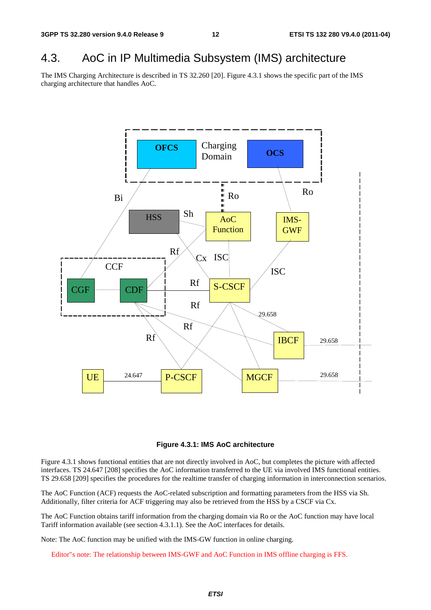### 4.3. AoC in IP Multimedia Subsystem (IMS) architecture

The IMS Charging Architecture is described in TS 32.260 [20]. Figure 4.3.1 shows the specific part of the IMS charging architecture that handles AoC.





Figure 4.3.1 shows functional entities that are not directly involved in AoC, but completes the picture with affected interfaces. TS 24.647 [208] specifies the AoC information transferred to the UE via involved IMS functional entities. TS 29.658 [209] specifies the procedures for the realtime transfer of charging information in interconnection scenarios.

The AoC Function (ACF) requests the AoC-related subscription and formatting parameters from the HSS via Sh. Additionally, filter criteria for ACF triggering may also be retrieved from the HSS by a CSCF via Cx.

The AoC Function obtains tariff information from the charging domain via Ro or the AoC function may have local Tariff information available (see section 4.3.1.1). See the AoC interfaces for details.

Note: The AoC function may be unified with the IMS-GW function in online charging.

Editor"s note: The relationship between IMS-GWF and AoC Function in IMS offline charging is FFS.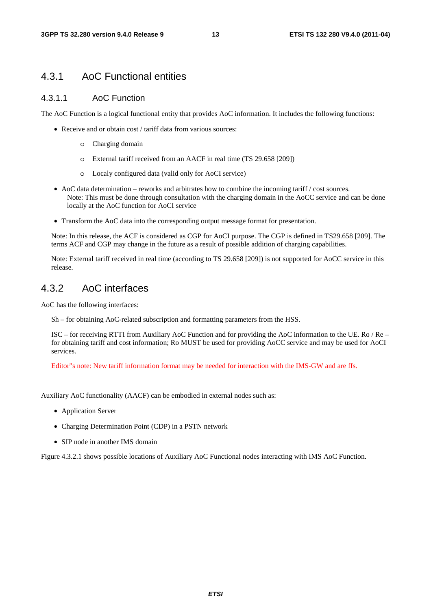### 4.3.1 AoC Functional entities

#### 4.3.1.1 AoC Function

The AoC Function is a logical functional entity that provides AoC information. It includes the following functions:

- Receive and or obtain cost / tariff data from various sources:
	- o Charging domain
	- o External tariff received from an AACF in real time (TS 29.658 [209])
	- o Localy configured data (valid only for AoCI service)
- AoC data determination reworks and arbitrates how to combine the incoming tariff  $\ell$  cost sources. Note: This must be done through consultation with the charging domain in the AoCC service and can be done locally at the AoC function for AoCI service
- Transform the AoC data into the corresponding output message format for presentation.

Note: In this release, the ACF is considered as CGP for AoCI purpose. The CGP is defined in TS29.658 [209]. The terms ACF and CGP may change in the future as a result of possible addition of charging capabilities.

Note: External tariff received in real time (according to TS 29.658 [209]) is not supported for AoCC service in this release.

### 4.3.2 AoC interfaces

AoC has the following interfaces:

Sh – for obtaining AoC-related subscription and formatting parameters from the HSS.

ISC – for receiving RTTI from Auxiliary AoC Function and for providing the AoC information to the UE. Ro / Re – for obtaining tariff and cost information; Ro MUST be used for providing AoCC service and may be used for AoCI services.

Editor"s note: New tariff information format may be needed for interaction with the IMS-GW and are ffs.

Auxiliary AoC functionality (AACF) can be embodied in external nodes such as:

- Application Server
- Charging Determination Point (CDP) in a PSTN network
- SIP node in another IMS domain

Figure 4.3.2.1 shows possible locations of Auxiliary AoC Functional nodes interacting with IMS AoC Function.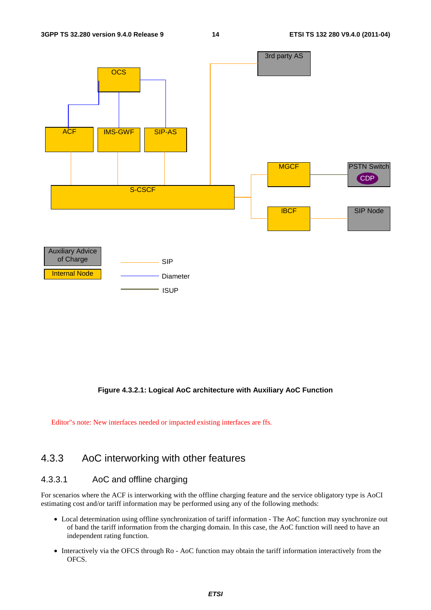

#### **Figure 4.3.2.1: Logical AoC architecture with Auxiliary AoC Function**

Editor"s note: New interfaces needed or impacted existing interfaces are ffs.

### 4.3.3 AoC interworking with other features

#### 4.3.3.1 AoC and offline charging

For scenarios where the ACF is interworking with the offline charging feature and the service obligatory type is AoCI estimating cost and/or tariff information may be performed using any of the following methods:

- Local determination using offline synchronization of tariff information The AoC function may synchronize out of band the tariff information from the charging domain. In this case, the AoC function will need to have an independent rating function.
- Interactively via the OFCS through Ro AoC function may obtain the tariff information interactively from the OFCS.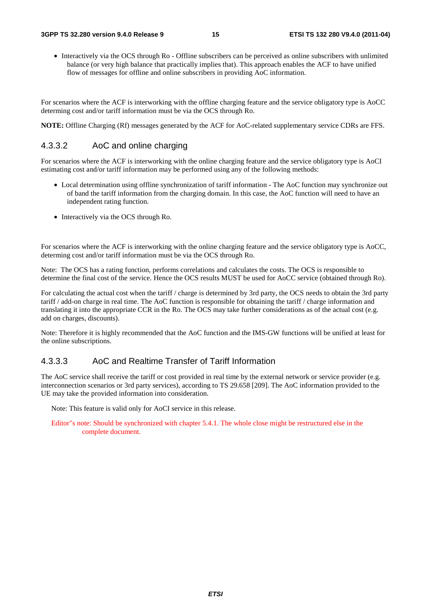• Interactively via the OCS through Ro - Offline subscribers can be perceived as online subscribers with unlimited balance (or very high balance that practically implies that). This approach enables the ACF to have unified flow of messages for offline and online subscribers in providing AoC information.

For scenarios where the ACF is interworking with the offline charging feature and the service obligatory type is AoCC determing cost and/or tariff information must be via the OCS through Ro.

**NOTE:** Offline Charging (Rf) messages generated by the ACF for AoC-related supplementary service CDRs are FFS.

#### 4.3.3.2 AoC and online charging

For scenarios where the ACF is interworking with the online charging feature and the service obligatory type is AoCI estimating cost and/or tariff information may be performed using any of the following methods:

- Local determination using offline synchronization of tariff information The AoC function may synchronize out of band the tariff information from the charging domain. In this case, the AoC function will need to have an independent rating function.
- Interactively via the OCS through Ro.

For scenarios where the ACF is interworking with the online charging feature and the service obligatory type is AoCC, determing cost and/or tariff information must be via the OCS through Ro.

Note: The OCS has a rating function, performs correlations and calculates the costs. The OCS is responsible to determine the final cost of the service. Hence the OCS results MUST be used for AoCC service (obtained through Ro).

For calculating the actual cost when the tariff / charge is determined by 3rd party, the OCS needs to obtain the 3rd party tariff / add-on charge in real time. The AoC function is responsible for obtaining the tariff / charge information and translating it into the appropriate CCR in the Ro. The OCS may take further considerations as of the actual cost (e.g. add on charges, discounts).

Note: Therefore it is highly recommended that the AoC function and the IMS-GW functions will be unified at least for the online subscriptions.

#### 4.3.3.3 AoC and Realtime Transfer of Tariff Information

The AoC service shall receive the tariff or cost provided in real time by the external network or service provider (e.g. interconnection scenarios or 3rd party services), according to TS 29.658 [209]. The AoC information provided to the UE may take the provided information into consideration.

Note: This feature is valid only for AoCI service in this release.

Editor"s note: Should be synchronized with chapter 5.4.1. The whole close might be restructured else in the complete document.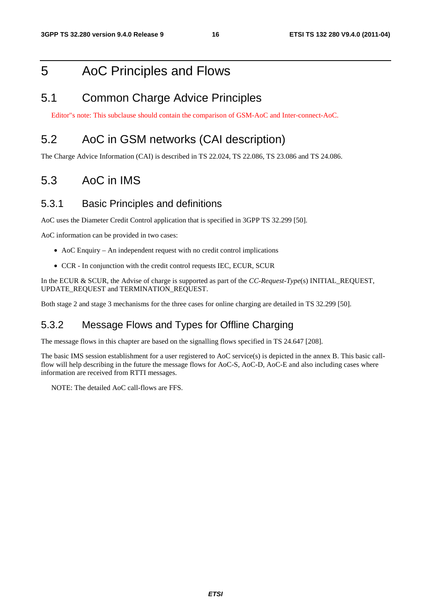# 5 AoC Principles and Flows

### 5.1 Common Charge Advice Principles

Editor"s note: This subclause should contain the comparison of GSM-AoC and Inter-connect-AoC.

### 5.2 AoC in GSM networks (CAI description)

The Charge Advice Information (CAI) is described in TS 22.024, TS 22.086, TS 23.086 and TS 24.086.

### 5.3 AoC in IMS

#### 5.3.1 Basic Principles and definitions

AoC uses the Diameter Credit Control application that is specified in 3GPP TS 32.299 [50].

AoC information can be provided in two cases:

- AoC Enquiry An independent request with no credit control implications
- CCR In conjunction with the credit control requests IEC, ECUR, SCUR

In the ECUR & SCUR, the Advise of charge is supported as part of the *CC-Request-Type*(s) INITIAL\_REQUEST, UPDATE\_REQUEST and TERMINATION\_REQUEST.

Both stage 2 and stage 3 mechanisms for the three cases for online charging are detailed in TS 32.299 [50].

### 5.3.2 Message Flows and Types for Offline Charging

The message flows in this chapter are based on the signalling flows specified in TS 24.647 [208].

The basic IMS session establishment for a user registered to AoC service(s) is depicted in the annex B. This basic callflow will help describing in the future the message flows for AoC-S, AoC-D, AoC-E and also including cases where information are received from RTTI messages.

NOTE: The detailed AoC call-flows are FFS.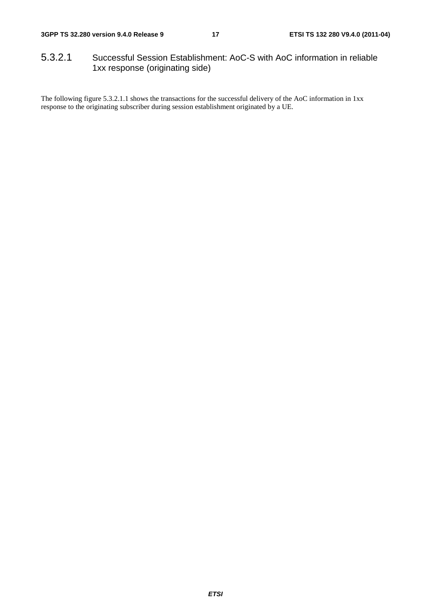### 5.3.2.1 Successful Session Establishment: AoC-S with AoC information in reliable 1xx response (originating side)

The following figure 5.3.2.1.1 shows the transactions for the successful delivery of the AoC information in 1xx response to the originating subscriber during session establishment originated by a UE.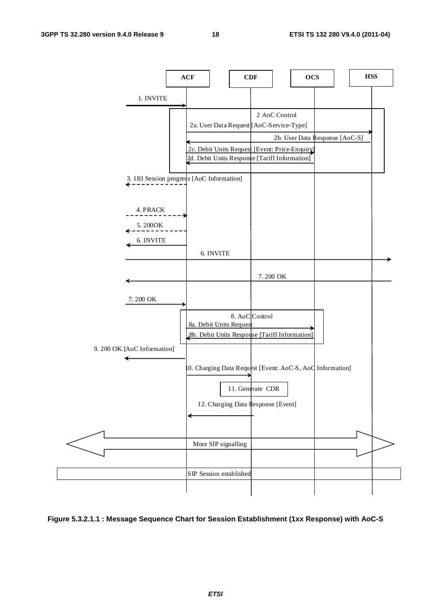

#### **Figure 5.3.2.1.1 : Message Sequence Chart for Session Establishment (1xx Response) with AoC-S**

*ETSI*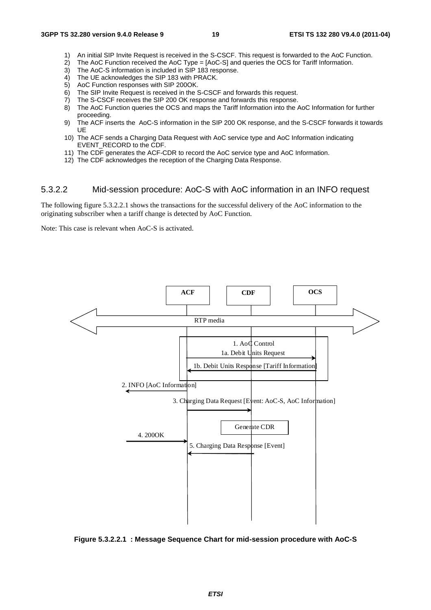- 1) An initial SIP Invite Request is received in the S-CSCF. This request is forwarded to the AoC Function.
- 2) The AoC Function received the AoC Type = [AoC-S] and queries the OCS for Tariff Information.
- 3) The AoC-S information is included in SIP 183 response.
- 4) The UE acknowledges the SIP 183 with PRACK.
- 5) AoC Function responses with SIP 200OK.
- 6) The SIP Invite Request is received in the S-CSCF and forwards this request.
- 7) The S-CSCF receives the SIP 200 OK response and forwards this response.
- 8) The AoC Function queries the OCS and maps the Tariff Information into the AoC Information for further proceeding.
- 9) The ACF inserts the AoC-S information in the SIP 200 OK response, and the S-CSCF forwards it towards UE
- 10) The ACF sends a Charging Data Request with AoC service type and AoC Information indicating EVENT\_RECORD to the CDF.
- 11) The CDF generates the ACF-CDR to record the AoC service type and AoC Information.
- 12) The CDF acknowledges the reception of the Charging Data Response.

#### 5.3.2.2 Mid-session procedure: AoC-S with AoC information in an INFO request

The following figure 5.3.2.2.1 shows the transactions for the successful delivery of the AoC information to the originating subscriber when a tariff change is detected by AoC Function.

Note: This case is relevant when AoC-S is activated.



**Figure 5.3.2.2.1 : Message Sequence Chart for mid-session procedure with AoC-S**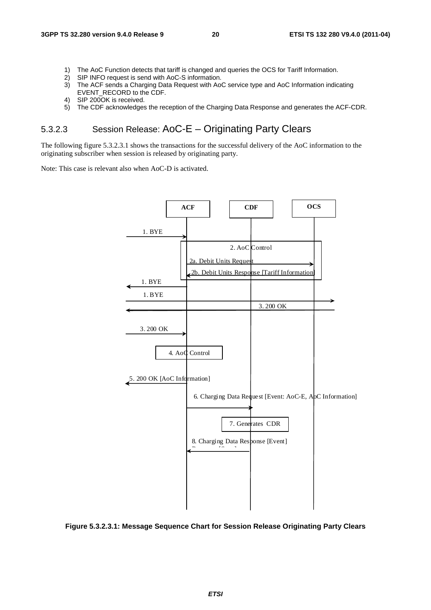- 1) The AoC Function detects that tariff is changed and queries the OCS for Tariff Information.
- 2) SIP INFO request is send with AoC-S information.
- 3) The ACF sends a Charging Data Request with AoC service type and AoC Information indicating EVENT\_RECORD to the CDF.
- 4) SIP 200OK is received.
- 5) The CDF acknowledges the reception of the Charging Data Response and generates the ACF-CDR.

### 5.3.2.3 Session Release: AoC-E – Originating Party Clears

The following figure 5.3.2.3.1 shows the transactions for the successful delivery of the AoC information to the originating subscriber when session is released by originating party.

Note: This case is relevant also when AoC-D is activated.



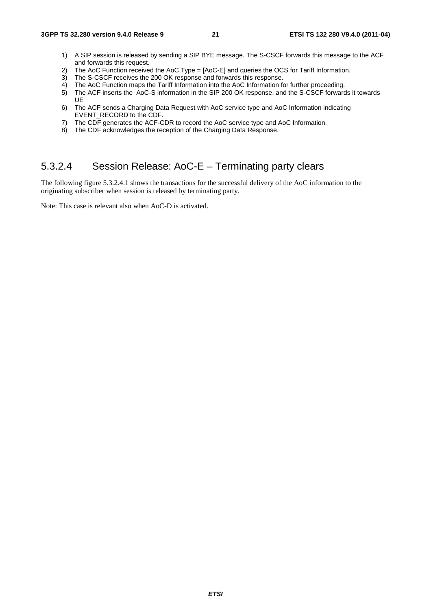- 1) A SIP session is released by sending a SIP BYE message. The S-CSCF forwards this message to the ACF and forwards this request.
- 2) The AoC Function received the AoC Type = [AoC-E] and queries the OCS for Tariff Information.<br>3) The S-CSCF receives the 200 OK response and forwards this response.
- The S-CSCF receives the 200 OK response and forwards this response.
- 4) The AoC Function maps the Tariff Information into the AoC Information for further proceeding.
- 5) The ACF inserts the AoC-S information in the SIP 200 OK response, and the S-CSCF forwards it towards UE
- 6) The ACF sends a Charging Data Request with AoC service type and AoC Information indicating EVENT\_RECORD to the CDF.
- 7) The CDF generates the ACF-CDR to record the AoC service type and AoC Information.
- 8) The CDF acknowledges the reception of the Charging Data Response.

### 5.3.2.4 Session Release: AoC-E – Terminating party clears

The following figure 5.3.2.4.1 shows the transactions for the successful delivery of the AoC information to the originating subscriber when session is released by terminating party.

Note: This case is relevant also when AoC-D is activated.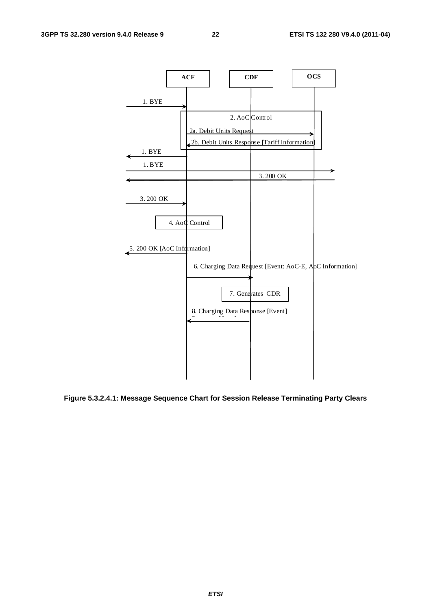

**Figure 5.3.2.4.1: Message Sequence Chart for Session Release Terminating Party Clears**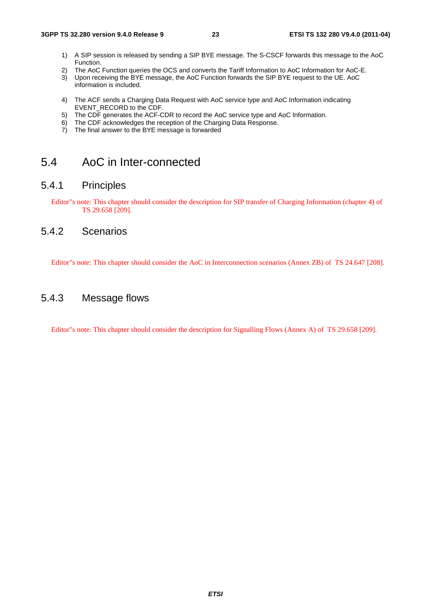- 1) A SIP session is released by sending a SIP BYE message. The S-CSCF forwards this message to the AoC Function.
- 2) The AoC Function queries the OCS and converts the Tariff Information to AoC Information for AoC-E.<br>3) Upon receiving the BYE message, the AoC Function forwards the SIP BYE request to the UE, AoC
- 3) Upon receiving the BYE message, the AoC Function forwards the SIP BYE request to the UE. AoC information is included.
- 4) The ACF sends a Charging Data Request with AoC service type and AoC Information indicating EVENT\_RECORD to the CDF.
- 5) The CDF generates the ACF-CDR to record the AoC service type and AoC Information.
- 6) The CDF acknowledges the reception of the Charging Data Response.
- 7) The final answer to the BYE message is forwarded

### 5.4 AoC in Inter-connected

#### 5.4.1 Principles

Editor"s note: This chapter should consider the description for SIP transfer of Charging Information (chapter 4) of TS 29.658 [209].

#### 5.4.2 Scenarios

Editor"s note: This chapter should consider the AoC in Interconnection scenarios (Annex ZB) of TS 24.647 [208].

### 5.4.3 Message flows

Editor"s note: This chapter should consider the description for Signalling Flows (Annex A) of TS 29.658 [209].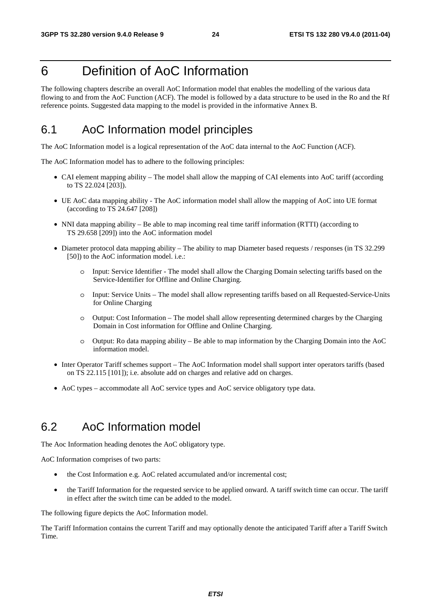# 6 Definition of AoC Information

The following chapters describe an overall AoC Information model that enables the modelling of the various data flowing to and from the AoC Function (ACF). The model is followed by a data structure to be used in the Ro and the Rf reference points. Suggested data mapping to the model is provided in the informative Annex B.

# 6.1 AoC Information model principles

The AoC Information model is a logical representation of the AoC data internal to the AoC Function (ACF).

The AoC Information model has to adhere to the following principles:

- CAI element mapping ability The model shall allow the mapping of CAI elements into AoC tariff (according to TS 22.024 [203]).
- UE AoC data mapping ability The AoC information model shall allow the mapping of AoC into UE format (according to TS 24.647 [208])
- NNI data mapping ability Be able to map incoming real time tariff information (RTTI) (according to TS 29.658 [209]) into the AoC information model
- Diameter protocol data mapping ability The ability to map Diameter based requests / responses (in TS 32.299 [50]) to the AoC information model. i.e.:
	- o Input: Service Identifier The model shall allow the Charging Domain selecting tariffs based on the Service-Identifier for Offline and Online Charging.
	- o Input: Service Units The model shall allow representing tariffs based on all Requested-Service-Units for Online Charging
	- o Output: Cost Information The model shall allow representing determined charges by the Charging Domain in Cost information for Offline and Online Charging.
	- o Output: Ro data mapping ability Be able to map information by the Charging Domain into the AoC information model.
- Inter Operator Tariff schemes support The AoC Information model shall support inter operators tariffs (based on TS 22.115 [101]); i.e. absolute add on charges and relative add on charges.
- AoC types accommodate all AoC service types and AoC service obligatory type data.

### 6.2 AoC Information model

The Aoc Information heading denotes the AoC obligatory type.

AoC Information comprises of two parts:

- the Cost Information e.g. AoC related accumulated and/or incremental cost;
- the Tariff Information for the requested service to be applied onward. A tariff switch time can occur. The tariff in effect after the switch time can be added to the model.

The following figure depicts the AoC Information model.

The Tariff Information contains the current Tariff and may optionally denote the anticipated Tariff after a Tariff Switch Time.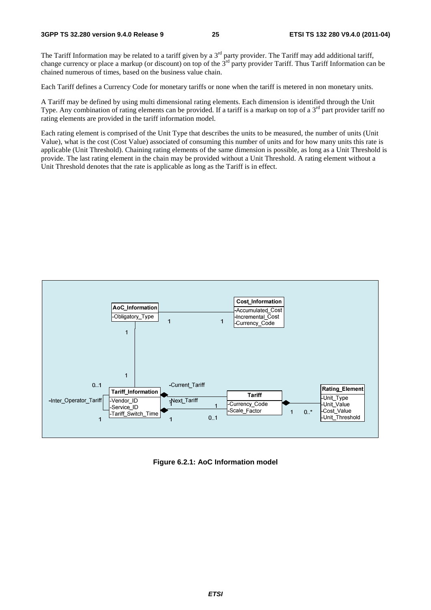The Tariff Information may be related to a tariff given by a  $3<sup>rd</sup>$  party provider. The Tariff may add additional tariff, change currency or place a markup (or discount) on top of the  $3<sup>rd</sup>$  party provider Tariff. Thus Tariff Information can be chained numerous of times, based on the business value chain.

Each Tariff defines a Currency Code for monetary tariffs or none when the tariff is metered in non monetary units.

A Tariff may be defined by using multi dimensional rating elements. Each dimension is identified through the Unit Type. Any combination of rating elements can be provided. If a tariff is a markup on top of a  $3<sup>rd</sup>$  part provider tariff no rating elements are provided in the tariff information model.

Each rating element is comprised of the Unit Type that describes the units to be measured, the number of units (Unit Value), what is the cost (Cost Value) associated of consuming this number of units and for how many units this rate is applicable (Unit Threshold). Chaining rating elements of the same dimension is possible, as long as a Unit Threshold is provide. The last rating element in the chain may be provided without a Unit Threshold. A rating element without a Unit Threshold denotes that the rate is applicable as long as the Tariff is in effect.



**Figure 6.2.1: AoC Information model**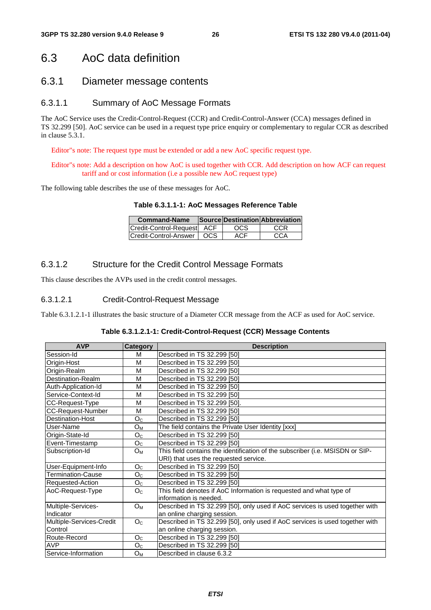### 6.3 AoC data definition

#### 6.3.1 Diameter message contents

#### 6.3.1.1 Summary of AoC Message Formats

The AoC Service uses the Credit-Control-Request (CCR) and Credit-Control-Answer (CCA) messages defined in TS 32.299 [50]. AoC service can be used in a request type price enquiry or complementary to regular CCR as described in clause 5.3.1.

Editor"s note: The request type must be extended or add a new AoC specific request type.

#### Editor"s note: Add a description on how AoC is used together with CCR. Add description on how ACF can request tariff and or cost information (i.e a possible new AoC request type)

The following table describes the use of these messages for AoC.

#### **Table 6.3.1.1-1: AoC Messages Reference Table**

| <b>Command-Name</b>                |      | Source Destination Abbreviation |
|------------------------------------|------|---------------------------------|
| Credit-Control-Request ACF         | OCS. | CCR                             |
| <b>Credit-Control-Answer   OCS</b> | ACF  | CCA                             |

#### 6.3.1.2 Structure for the Credit Control Message Formats

This clause describes the AVPs used in the credit control messages.

#### 6.3.1.2.1 Credit-Control-Request Message

Table 6.3.1.2.1-1 illustrates the basic structure of a Diameter CCR message from the ACF as used for AoC service.

| Table 6.3.1.2.1-1: Credit-Control-Request (CCR) Message Contents |  |  |
|------------------------------------------------------------------|--|--|
|------------------------------------------------------------------|--|--|

| <b>AVP</b>               | Category       | <b>Description</b>                                                            |  |  |
|--------------------------|----------------|-------------------------------------------------------------------------------|--|--|
| Session-Id               | м              | Described in TS 32.299 [50]                                                   |  |  |
| Origin-Host              | M              | Described in TS 32.299 [50]                                                   |  |  |
| Origin-Realm             | M              | Described in TS 32.299 [50]                                                   |  |  |
| Destination-Realm        | м              | Described in TS 32.299 [50]                                                   |  |  |
| Auth-Application-Id      | M              | Described in TS 32.299 [50]                                                   |  |  |
| Service-Context-Id       | M              | Described in TS 32.299 [50]                                                   |  |  |
| CC-Request-Type          | M              | Described in TS 32.299 [50].                                                  |  |  |
| <b>CC-Request-Number</b> | M              | Described in TS 32.299 [50]                                                   |  |  |
| Destination-Host         | O <sub>C</sub> | Described in TS 32.299 [50]                                                   |  |  |
| User-Name                | Oм             | The field contains the Private User Identity [xxx]                            |  |  |
| Origin-State-Id          | O <sub>C</sub> | Described in TS 32.299 [50]                                                   |  |  |
| Event-Timestamp          | O <sub>C</sub> | Described in TS 32.299 [50]                                                   |  |  |
| Subscription-Id          | $O_M$          | This field contains the identification of the subscriber (i.e. MSISDN or SIP- |  |  |
|                          |                | URI) that uses the requested service.                                         |  |  |
| User-Equipment-Info      | O <sub>C</sub> | Described in TS 32.299 [50]                                                   |  |  |
| Termination-Cause        | O <sub>C</sub> | Described in TS 32.299 [50]                                                   |  |  |
| Requested-Action         | O <sub>C</sub> | Described in TS 32.299 [50]                                                   |  |  |
| AoC-Request-Type         | O <sub>C</sub> | This field denotes if AoC Information is requested and what type of           |  |  |
|                          |                | information is needed.                                                        |  |  |
| Multiple-Services-       | $O_M$          | Described in TS 32.299 [50], only used if AoC services is used together with  |  |  |
| Indicator                |                | an online charging session.                                                   |  |  |
| Multiple-Services-Credit | O <sub>C</sub> | Described in TS 32.299 [50], only used if AoC services is used together with  |  |  |
| Control                  |                | an online charging session.                                                   |  |  |
| Route-Record             | O <sub>C</sub> | Described in TS 32.299 [50]                                                   |  |  |
| <b>AVP</b>               | O <sub>C</sub> | Described in TS 32.299 [50]                                                   |  |  |
| Service-Information      | $O_{M}$        | Described in clause 6.3.2                                                     |  |  |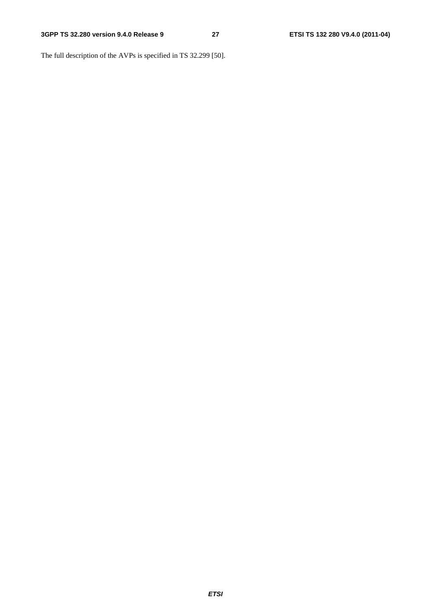The full description of the AVPs is specified in TS 32.299 [50].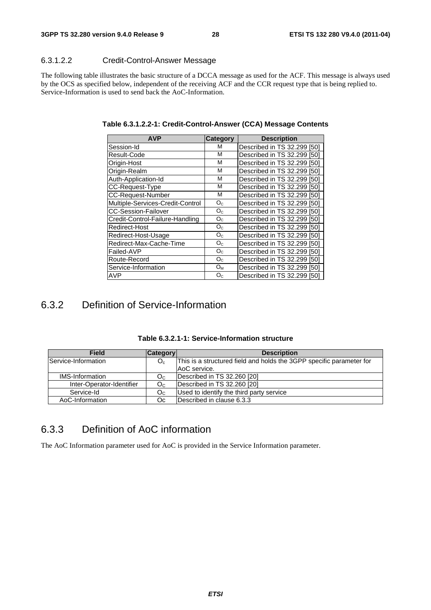#### 6.3.1.2.2 Credit-Control-Answer Message

The following table illustrates the basic structure of a DCCA message as used for the ACF. This message is always used by the OCS as specified below, independent of the receiving ACF and the CCR request type that is being replied to. Service-Information is used to send back the AoC-Information.

| <b>AVP</b>                       | Category       | <b>Description</b>          |
|----------------------------------|----------------|-----------------------------|
| Session-Id                       | М              | Described in TS 32,299 [50] |
| Result-Code                      | М              | Described in TS 32.299 [50] |
| Origin-Host                      | М              | Described in TS 32,299 [50] |
| Origin-Realm                     | М              | Described in TS 32.299 [50] |
| Auth-Application-Id              | М              | Described in TS 32,299 [50] |
| CC-Request-Type                  | М              | Described in TS 32,299 [50] |
| <b>CC-Request-Number</b>         | М              | Described in TS 32.299 [50] |
| Multiple-Services-Credit-Control | O <sub>C</sub> | Described in TS 32,299 [50] |
| <b>CC-Session-Failover</b>       | O <sub>C</sub> | Described in TS 32.299 [50] |
| Credit-Control-Failure-Handling  | $O_{C}$        | Described in TS 32,299 [50] |
| Redirect-Host                    | O <sub>C</sub> | Described in TS 32.299 [50] |
| Redirect-Host-Usage              | O <sub>C</sub> | Described in TS 32,299 [50] |
| Redirect-Max-Cache-Time          | O <sub>C</sub> | Described in TS 32.299 [50] |
| Failed-AVP                       | O <sub>c</sub> | Described in TS 32.299 [50] |
| Route-Record                     | O <sub>C</sub> | Described in TS 32.299 [50] |
| Service-Information              | $O_M$          | Described in TS 32,299 [50] |
| AVP                              | O <sub>c</sub> | Described in TS 32.299 [50] |

**Table 6.3.1.2.2-1: Credit-Control-Answer (CCA) Message Contents** 

### 6.3.2 Definition of Service-Information

| <b>Field</b>              | <b>Category</b> | <b>Description</b>                                                   |
|---------------------------|-----------------|----------------------------------------------------------------------|
| Service-Information       | $O_c$           | This is a structured field and holds the 3GPP specific parameter for |
|                           |                 | AoC service.                                                         |
| <b>IMS-Information</b>    | Oc              | Described in TS 32.260 [20]                                          |
| Inter-Operator-Identifier | O <sub>C</sub>  | Described in TS 32.260 [20]                                          |
| Service-Id                | Oc              | Used to identify the third party service                             |
| AoC-Information           | Oc.             | Described in clause 6.3.3                                            |

**Table 6.3.2.1-1: Service-Information structure** 

### 6.3.3 Definition of AoC information

The AoC Information parameter used for AoC is provided in the Service Information parameter.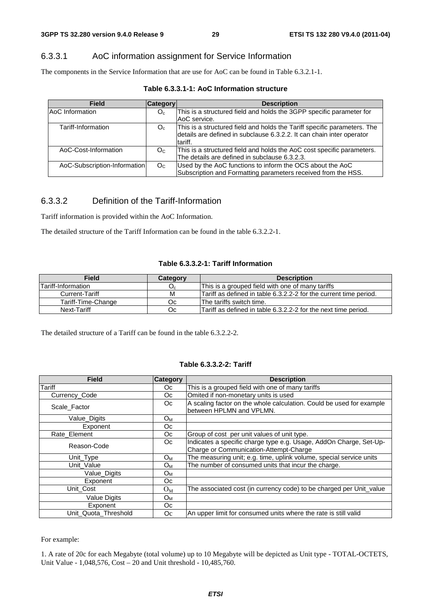#### 6.3.3.1 AoC information assignment for Service Information

The components in the Service Information that are use for AoC can be found in Table 6.3.2.1-1.

|  | Table 6.3.3.1-1: AoC Information structure |  |
|--|--------------------------------------------|--|
|--|--------------------------------------------|--|

| <b>Field</b>                 | Category       | <b>Description</b>                                                                                                                                           |
|------------------------------|----------------|--------------------------------------------------------------------------------------------------------------------------------------------------------------|
| AoC Information              | O <sub>c</sub> | This is a structured field and holds the 3GPP specific parameter for<br>AoC service.                                                                         |
| Tariff-Information           | $O_c$          | This is a structured field and holds the Tariff specific parameters. The<br>details are defined in subclause 6.3.2.2. It can chain inter operator<br>tariff. |
| AoC-Cost-Information         | O <sub>C</sub> | This is a structured field and holds the AoC cost specific parameters.<br>The details are defined in subclause 6.3.2.3.                                      |
| AoC-Subscription-Information | O <sub>C</sub> | Used by the AoC functions to inform the OCS about the AoC<br>Subscription and Formatting parameters received from the HSS.                                   |

#### 6.3.3.2 Definition of the Tariff-Information

Tariff information is provided within the AoC Information.

The detailed structure of the Tariff Information can be found in the table 6.3.2.2-1.

#### **Table 6.3.3.2-1: Tariff Information**

| <b>Field</b>              | Category | <b>Description</b>                                                |
|---------------------------|----------|-------------------------------------------------------------------|
| <b>Tariff-Information</b> | $O_c$    | This is a grouped field with one of many tariffs                  |
| Current-Tariff            | M        | Tariff as defined in table 6.3.2.2-2 for the current time period. |
| Tariff-Time-Change        | Оc       | The tariffs switch time.                                          |
| Next-Tariff               | Oc.      | Tariff as defined in table 6.3.2.2-2 for the next time period.    |

The detailed structure of a Tariff can be found in the table 6.3.2.2-2.

#### **Table 6.3.3.2-2: Tariff**

| <b>Field</b>         | <b>Category</b> | <b>Description</b>                                                   |
|----------------------|-----------------|----------------------------------------------------------------------|
| <b>Tariff</b>        | Oc.             | This is a grouped field with one of many tariffs                     |
| Currency Code        | Oc.             | Omited if non-monetary units is used                                 |
| Scale Factor         | Oc.             | A scaling factor on the whole calculation. Could be used for example |
|                      |                 | between HPLMN and VPLMN.                                             |
| Value_Digits         | $O_{M}$         |                                                                      |
| Exponent             | Oc.             |                                                                      |
| Rate Element         | Oc.             | Group of cost per unit values of unit type.                          |
| Reason-Code          | Oc.             | Indicates a specific charge type e.g. Usage, AddOn Charge, Set-Up-   |
|                      |                 | Charge or Communication-Attempt-Charge                               |
| Unit Type            | O <sub>M</sub>  | The measuring unit; e.g. time, uplink volume, special service units  |
| Unit Value           | $O_{M}$         | The number of consumed units that incur the charge.                  |
| Value_Digits         | O <sub>M</sub>  |                                                                      |
| Exponent             | Oc.             |                                                                      |
| Unit Cost            | $O_{M}$         | The associated cost (in currency code) to be charged per Unit_value  |
| <b>Value Digits</b>  | O <sub>M</sub>  |                                                                      |
| Exponent             | Oc.             |                                                                      |
| Unit Quota Threshold | Oc.             | An upper limit for consumed units where the rate is still valid      |

#### For example:

1. A rate of 20c for each Megabyte (total volume) up to 10 Megabyte will be depicted as Unit type - TOTAL-OCTETS, Unit Value - 1,048,576, Cost – 20 and Unit threshold - 10,485,760.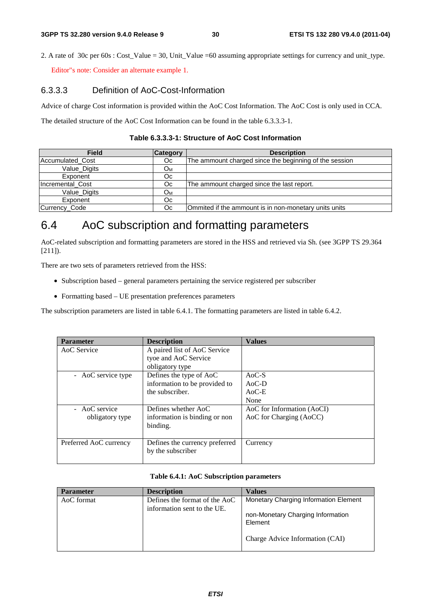2. A rate of 30c per  $60s$ : Cost Value = 30, Unit Value =60 assuming appropriate settings for currency and unit type.

Editor"s note: Consider an alternate example 1.

#### 6.3.3.3 Definition of AoC-Cost-Information

Advice of charge Cost information is provided within the AoC Cost Information. The AoC Cost is only used in CCA.

The detailed structure of the AoC Cost Information can be found in the table 6.3.3.3-1.

| <b>Field</b>     | <b>Category</b> | <b>Description</b>                                     |
|------------------|-----------------|--------------------------------------------------------|
| Accumulated Cost | Оc              | The ammount charged since the beginning of the session |
| Value Digits     | Oм              |                                                        |
| Exponent         | Оc              |                                                        |
| Incremental Cost | Oc.             | The ammount charged since the last report.             |
| Value Digits     | Oм              |                                                        |
| Exponent         | Oc.             |                                                        |
| Currency_Code    | Оc              | Ommited if the ammount is in non-monetary units units  |

#### **Table 6.3.3.3-1: Structure of AoC Cost Information**

### 6.4 AoC subscription and formatting parameters

AoC-related subscription and formatting parameters are stored in the HSS and retrieved via Sh. (see 3GPP TS 29.364 [211]).

There are two sets of parameters retrieved from the HSS:

- Subscription based general parameters pertaining the service registered per subscriber
- Formatting based UE presentation preferences parameters

The subscription parameters are listed in table 6.4.1. The formatting parameters are listed in table 6.4.2.

| <b>Description</b>                                  | <b>Values</b>              |
|-----------------------------------------------------|----------------------------|
| A paired list of AoC Service                        |                            |
| tyoe and AoC Service                                |                            |
| obligatory type                                     |                            |
| Defines the type of AoC                             | $AoC-S$                    |
| information to be provided to                       | $AoC-D$                    |
| the subscriber.                                     | $AoC-E$                    |
|                                                     | None                       |
| Defines whether AoC                                 | AoC for Information (AoCI) |
| information is binding or non                       | AoC for Charging (AoCC)    |
| binding.                                            |                            |
|                                                     |                            |
| Defines the currency preferred<br>by the subscriber | Currency                   |
|                                                     |                            |

#### **Table 6.4.1: AoC Subscription parameters**

| <b>Parameter</b> | <b>Description</b>                                           | <b>Values</b>                                |
|------------------|--------------------------------------------------------------|----------------------------------------------|
| AoC format       | Defines the format of the AoC<br>information sent to the UE. | Monetary Charging Information Element        |
|                  |                                                              | non-Monetary Charging Information<br>Element |
|                  |                                                              | Charge Advice Information (CAI)              |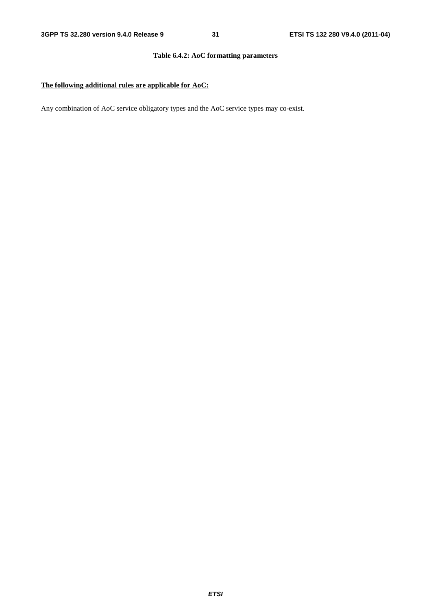#### **Table 6.4.2: AoC formatting parameters**

#### **The following additional rules are applicable for AoC:**

Any combination of AoC service obligatory types and the AoC service types may co-exist.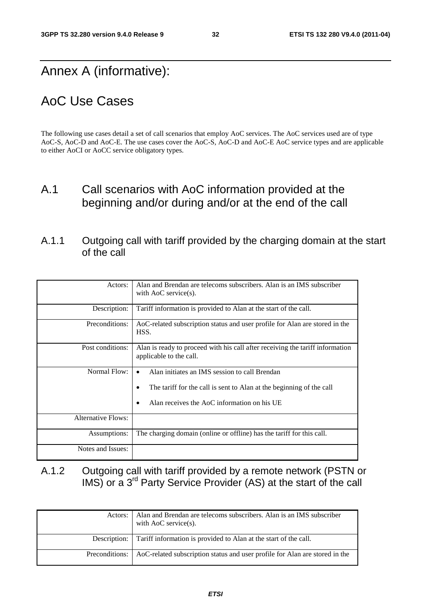# Annex A (informative):

# AoC Use Cases

The following use cases detail a set of call scenarios that employ AoC services. The AoC services used are of type AoC-S, AoC-D and AoC-E. The use cases cover the AoC-S, AoC-D and AoC-E AoC service types and are applicable to either AoCI or AoCC service obligatory types.

### A.1 Call scenarios with AoC information provided at the beginning and/or during and/or at the end of the call

### A.1.1 Outgoing call with tariff provided by the charging domain at the start of the call

| Actors:            | Alan and Brendan are telecoms subscribers. Alan is an IMS subscriber<br>with $AoC$ service(s).                                                                                         |
|--------------------|----------------------------------------------------------------------------------------------------------------------------------------------------------------------------------------|
| Description:       | Tariff information is provided to Alan at the start of the call.                                                                                                                       |
| Preconditions:     | AoC-related subscription status and user profile for Alan are stored in the<br>HSS.                                                                                                    |
| Post conditions:   | Alan is ready to proceed with his call after receiving the tariff information<br>applicable to the call.                                                                               |
| Normal Flow:       | Alan initiates an IMS session to call Brendan<br>$\bullet$<br>The tariff for the call is sent to Alan at the beginning of the call<br>Alan receives the AoC information on his UE<br>٠ |
| Alternative Flows: |                                                                                                                                                                                        |
| Assumptions:       | The charging domain (online or offline) has the tariff for this call.                                                                                                                  |
| Notes and Issues:  |                                                                                                                                                                                        |

### A.1.2 Outgoing call with tariff provided by a remote network (PSTN or IMS) or a 3<sup>rd</sup> Party Service Provider (AS) at the start of the call

| Actors: I        | Alan and Brendan are telecoms subscribers. Alan is an IMS subscriber<br>with AoC service $(s)$ . |
|------------------|--------------------------------------------------------------------------------------------------|
|                  | Description: Tariff information is provided to Alan at the start of the call.                    |
| Preconditions: 1 | AoC-related subscription status and user profile for Alan are stored in the                      |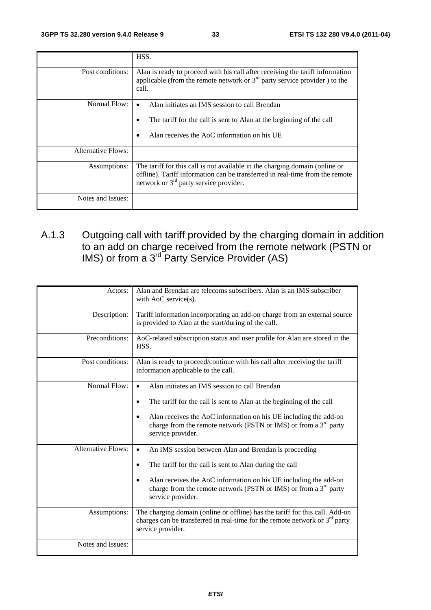|                    | HSS.                                                                                                                                                                                                    |
|--------------------|---------------------------------------------------------------------------------------------------------------------------------------------------------------------------------------------------------|
| Post conditions:   | Alan is ready to proceed with his call after receiving the tariff information<br>applicable (from the remote network or $3rd$ party service provider) to the<br>call.                                   |
| Normal Flow:       | Alan initiates an IMS session to call Brendan<br>The tariff for the call is sent to Alan at the beginning of the call<br>٠<br>Alan receives the AoC information on his UE<br>٠                          |
| Alternative Flows: |                                                                                                                                                                                                         |
| Assumptions:       | The tariff for this call is not available in the charging domain (online or<br>offline). Tariff information can be transferred in real-time from the remote<br>network or $3rd$ party service provider. |
| Notes and Issues:  |                                                                                                                                                                                                         |

### A.1.3 Outgoing call with tariff provided by the charging domain in addition to an add on charge received from the remote network (PSTN or IMS) or from a  $3^{rd}$  Party Service Provider (AS)

| Actors:                   | Alan and Brendan are telecoms subscribers. Alan is an IMS subscriber<br>with AoC service(s).                                                                                       |
|---------------------------|------------------------------------------------------------------------------------------------------------------------------------------------------------------------------------|
| Description:              | Tariff information incorporating an add-on charge from an external source<br>is provided to Alan at the start/during of the call.                                                  |
| Preconditions:            | AoC-related subscription status and user profile for Alan are stored in the<br>HSS.                                                                                                |
| Post conditions:          | Alan is ready to proceed/continue with his call after receiving the tariff<br>information applicable to the call.                                                                  |
| Normal Flow:              | Alan initiates an IMS session to call Brendan<br>The tariff for the call is sent to Alan at the beginning of the call                                                              |
|                           | Alan receives the AoC information on his UE including the add-on<br>charge from the remote network (PSTN or IMS) or from a 3 <sup>rd</sup> party<br>service provider.              |
| <b>Alternative Flows:</b> | An IMS session between Alan and Brendan is proceeding<br>$\bullet$                                                                                                                 |
|                           | The tariff for the call is sent to Alan during the call<br>$\bullet$                                                                                                               |
|                           | Alan receives the AoC information on his UE including the add-on<br>$\bullet$<br>charge from the remote network (PSTN or IMS) or from a $3rd$ party<br>service provider.           |
| Assumptions:              | The charging domain (online or offline) has the tariff for this call. Add-on<br>charges can be transferred in real-time for the remote network or $3rd$ party<br>service provider. |
| Notes and Issues:         |                                                                                                                                                                                    |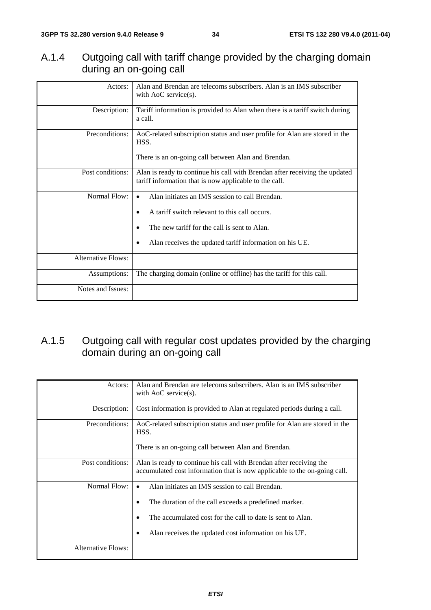### A.1.4 Outgoing call with tariff change provided by the charging domain during an on-going call

| Actors:                   | Alan and Brendan are telecoms subscribers. Alan is an IMS subscriber<br>with $AoC$ service(s).                                                                                                                                    |
|---------------------------|-----------------------------------------------------------------------------------------------------------------------------------------------------------------------------------------------------------------------------------|
| Description:              | Tariff information is provided to Alan when there is a tariff switch during<br>a call.                                                                                                                                            |
| Preconditions:            | AoC-related subscription status and user profile for Alan are stored in the<br>HSS.<br>There is an on-going call between Alan and Brendan.                                                                                        |
| Post conditions:          | Alan is ready to continue his call with Brendan after receiving the updated<br>tariff information that is now applicable to the call.                                                                                             |
| Normal Flow:              | Alan initiates an IMS session to call Brendan.<br>$\bullet$<br>A tariff switch relevant to this call occurs.<br>٠<br>The new tariff for the call is sent to Alan.<br>Alan receives the updated tariff information on his UE.<br>٠ |
| <b>Alternative Flows:</b> |                                                                                                                                                                                                                                   |
| Assumptions:              | The charging domain (online or offline) has the tariff for this call.                                                                                                                                                             |
| Notes and Issues:         |                                                                                                                                                                                                                                   |

### A.1.5 Outgoing call with regular cost updates provided by the charging domain during an on-going call

| Actors:                   | Alan and Brendan are telecoms subscribers. Alan is an IMS subscriber<br>with $AoC$ service(s).                                                                                                                                 |
|---------------------------|--------------------------------------------------------------------------------------------------------------------------------------------------------------------------------------------------------------------------------|
| Description:              | Cost information is provided to Alan at regulated periods during a call.                                                                                                                                                       |
| Preconditions:            | AoC-related subscription status and user profile for Alan are stored in the<br>HSS.<br>There is an on-going call between Alan and Brendan.                                                                                     |
| Post conditions:          | Alan is ready to continue his call with Brendan after receiving the<br>accumulated cost information that is now applicable to the on-going call.                                                                               |
| Normal Flow:              | Alan initiates an IMS session to call Brendan.<br>The duration of the call exceeds a predefined marker.<br>The accumulated cost for the call to date is sent to Alan.<br>Alan receives the updated cost information on his UE. |
| <b>Alternative Flows:</b> |                                                                                                                                                                                                                                |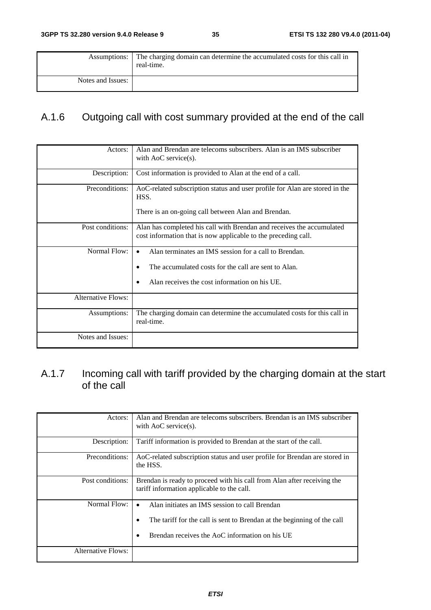| Assumptions:      | The charging domain can determine the accumulated costs for this call in<br>real-time. |
|-------------------|----------------------------------------------------------------------------------------|
| Notes and Issues: |                                                                                        |

# A.1.6 Outgoing call with cost summary provided at the end of the call

| Actors:                   | Alan and Brendan are telecoms subscribers. Alan is an IMS subscriber<br>with $AoC$ service(s).                                                                 |  |  |  |
|---------------------------|----------------------------------------------------------------------------------------------------------------------------------------------------------------|--|--|--|
| Description:              | Cost information is provided to Alan at the end of a call.                                                                                                     |  |  |  |
| Preconditions:            | AoC-related subscription status and user profile for Alan are stored in the<br>HSS.<br>There is an on-going call between Alan and Brendan.                     |  |  |  |
| Post conditions:          | Alan has completed his call with Brendan and receives the accumulated<br>cost information that is now applicable to the preceding call.                        |  |  |  |
| Normal Flow:              | Alan terminates an IMS session for a call to Brendan.<br>The accumulated costs for the call are sent to Alan.<br>Alan receives the cost information on his UE. |  |  |  |
| <b>Alternative Flows:</b> |                                                                                                                                                                |  |  |  |
| Assumptions:              | The charging domain can determine the accumulated costs for this call in<br>real-time.                                                                         |  |  |  |
| Notes and Issues:         |                                                                                                                                                                |  |  |  |

### A.1.7 Incoming call with tariff provided by the charging domain at the start of the call

| Actors:            | Alan and Brendan are telecoms subscribers. Brendan is an IMS subscriber<br>with $AoC$ service(s).                                                                                                 |
|--------------------|---------------------------------------------------------------------------------------------------------------------------------------------------------------------------------------------------|
| Description:       | Tariff information is provided to Brendan at the start of the call.                                                                                                                               |
| Preconditions:     | AoC-related subscription status and user profile for Brendan are stored in<br>the HSS.                                                                                                            |
| Post conditions:   | Brendan is ready to proceed with his call from Alan after receiving the<br>tariff information applicable to the call.                                                                             |
| Normal Flow:       | Alan initiates an IMS session to call Brendan<br>$\bullet$<br>The tariff for the call is sent to Brendan at the beginning of the call<br>٠<br>Brendan receives the AoC information on his UE<br>٠ |
| Alternative Flows: |                                                                                                                                                                                                   |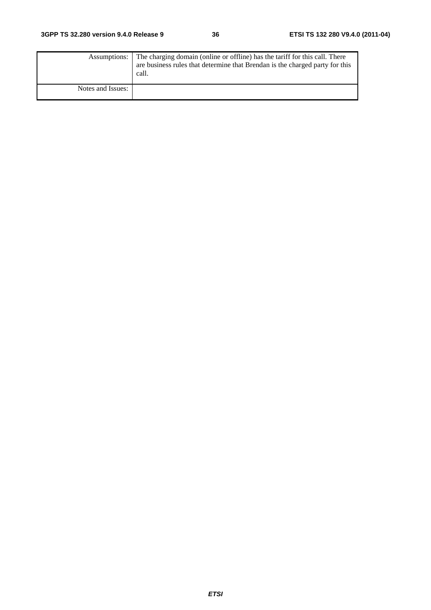|                   | Assumptions: The charging domain (online or offline) has the tariff for this call. There<br>are business rules that determine that Brendan is the charged party for this<br>call. |
|-------------------|-----------------------------------------------------------------------------------------------------------------------------------------------------------------------------------|
| Notes and Issues: |                                                                                                                                                                                   |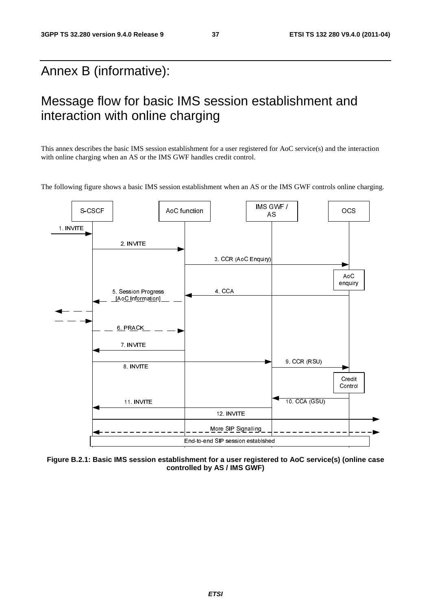# Annex B (informative):

# Message flow for basic IMS session establishment and interaction with online charging

This annex describes the basic IMS session establishment for a user registered for AoC service(s) and the interaction with online charging when an AS or the IMS GWF handles credit control.

The following figure shows a basic IMS session establishment when an AS or the IMS GWF controls online charging.



**Figure B.2.1: Basic IMS session establishment for a user registered to AoC service(s) (online case controlled by AS / IMS GWF)**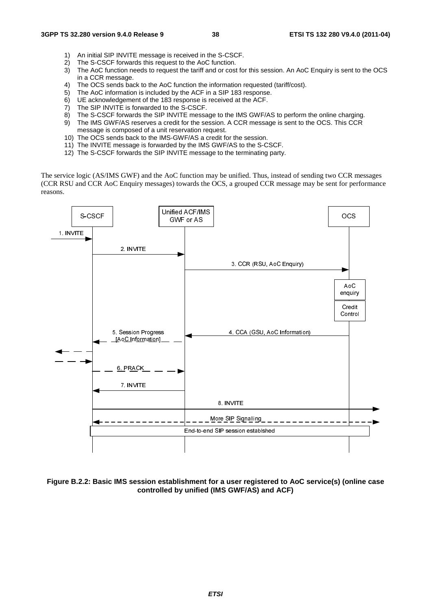- 1) An initial SIP INVITE message is received in the S-CSCF.
- 2) The S-CSCF forwards this request to the AoC function.
- 3) The AoC function needs to request the tariff and or cost for this session. An AoC Enquiry is sent to the OCS in a CCR message.
- 4) The OCS sends back to the AoC function the information requested (tariff/cost).
- 5) The AoC information is included by the ACF in a SIP 183 response.
- 6) UE acknowledgement of the 183 response is received at the ACF.<br>7) The SIP INVITE is forwarded to the S-CSCF.
- The SIP INVITE is forwarded to the S-CSCF.
- 8) The S-CSCF forwards the SIP INVITE message to the IMS GWF/AS to perform the online charging.
- 9) The IMS GWF/AS reserves a credit for the session. A CCR message is sent to the OCS. This CCR message is composed of a unit reservation request.
- 10) The OCS sends back to the IMS-GWF/AS a credit for the session.
- 11) The INVITE message is forwarded by the IMS GWF/AS to the S-CSCF.
- 12) The S-CSCF forwards the SIP INVITE message to the terminating party.

The service logic (AS/IMS GWF) and the AoC function may be unified. Thus, instead of sending two CCR messages (CCR RSU and CCR AoC Enquiry messages) towards the OCS, a grouped CCR message may be sent for performance reasons.



**Figure B.2.2: Basic IMS session establishment for a user registered to AoC service(s) (online case controlled by unified (IMS GWF/AS) and ACF)**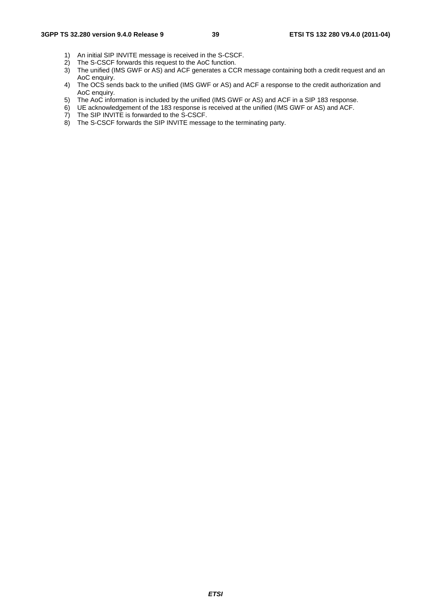- 1) An initial SIP INVITE message is received in the S-CSCF.
- 2) The S-CSCF forwards this request to the AoC function.
- 3) The unified (IMS GWF or AS) and ACF generates a CCR message containing both a credit request and an AoC enquiry.
- 4) The OCS sends back to the unified (IMS GWF or AS) and ACF a response to the credit authorization and AoC enquiry.
- 5) The AoC information is included by the unified (IMS GWF or AS) and ACF in a SIP 183 response.
- 6) UE acknowledgement of the 183 response is received at the unified (IMS GWF or AS) and ACF.
- 7) The SIP INVITE is forwarded to the S-CSCF.
- 8) The S-CSCF forwards the SIP INVITE message to the terminating party.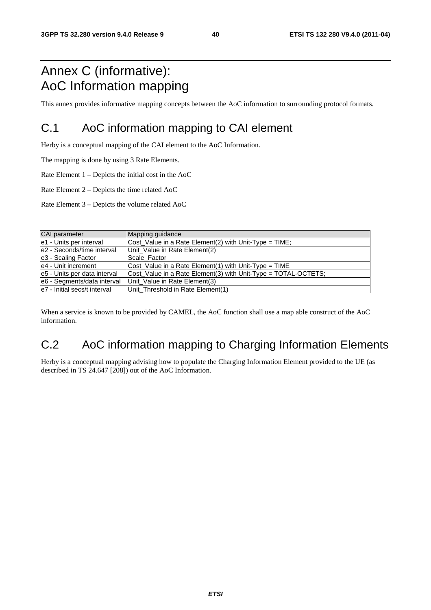# Annex C (informative): AoC Information mapping

This annex provides informative mapping concepts between the AoC information to surrounding protocol formats.

# C.1 AoC information mapping to CAI element

Herby is a conceptual mapping of the CAI element to the AoC Information.

The mapping is done by using 3 Rate Elements.

Rate Element 1 – Depicts the initial cost in the AoC

Rate Element 2 – Depicts the time related AoC

Rate Element 3 – Depicts the volume related AoC

| CAI parameter                | Mapping guidance                                               |
|------------------------------|----------------------------------------------------------------|
| e1 - Units per interval      | $\vert$ Cost_Value in a Rate Element(2) with Unit-Type = TIME; |
| le2 - Seconds/time interval  | Unit Value in Rate Element(2)                                  |
| e3 - Scaling Factor          | Scale Factor                                                   |
| le4 - Unit increment         | $\vert$ Cost Value in a Rate Element(1) with Unit-Type = TIME  |
| e5 - Units per data interval | Cost_Value in a Rate Element(3) with Unit-Type = TOTAL-OCTETS; |
| e6 - Segments/data interval  | Unit_Value in Rate Element(3)                                  |
| e7 - Initial secs/t interval | Unit_Threshold in Rate Element(1)                              |

When a service is known to be provided by CAMEL, the AoC function shall use a map able construct of the AoC information.

# C.2 AoC information mapping to Charging Information Elements

Herby is a conceptual mapping advising how to populate the Charging Information Element provided to the UE (as described in TS 24.647 [208]) out of the AoC Information.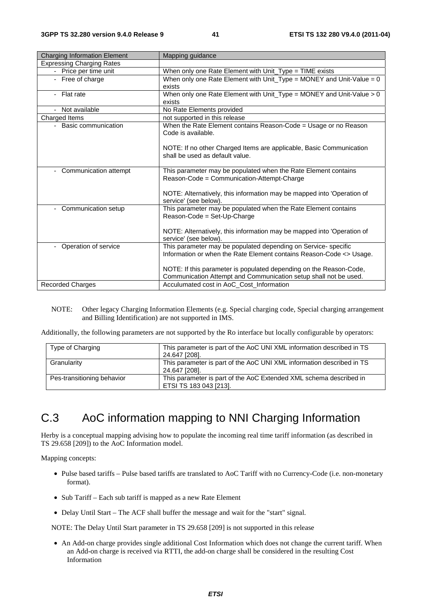| <b>Charging Information Element</b> | Mapping guidance                                                       |
|-------------------------------------|------------------------------------------------------------------------|
| <b>Expressing Charging Rates</b>    |                                                                        |
| - Price per time unit               | When only one Rate Element with Unit_Type = TIME exists                |
| - Free of charge                    | When only one Rate Element with Unit_Type = MONEY and Unit-Value = $0$ |
|                                     | exists                                                                 |
| - Flat rate                         | When only one Rate Element with Unit_Type = MONEY and Unit-Value > 0   |
|                                     | exists                                                                 |
| - Not available                     | No Rate Elements provided                                              |
| Charged Items                       | not supported in this release                                          |
| - Basic communication               | When the Rate Element contains Reason-Code = Usage or no Reason        |
|                                     | Code is available.                                                     |
|                                     |                                                                        |
|                                     | NOTE: If no other Charged Items are applicable, Basic Communication    |
|                                     | shall be used as default value.                                        |
|                                     |                                                                        |
| - Communication attempt             | This parameter may be populated when the Rate Element contains         |
|                                     | Reason-Code = Communication-Attempt-Charge                             |
|                                     | NOTE: Alternatively, this information may be mapped into 'Operation of |
|                                     | service' (see below).                                                  |
| Communication setup                 | This parameter may be populated when the Rate Element contains         |
|                                     | Reason-Code = Set-Up-Charge                                            |
|                                     |                                                                        |
|                                     | NOTE: Alternatively, this information may be mapped into 'Operation of |
|                                     | service' (see below).                                                  |
| Operation of service                | This parameter may be populated depending on Service- specific         |
|                                     | Information or when the Rate Element contains Reason-Code <> Usage.    |
|                                     |                                                                        |
|                                     | NOTE: If this parameter is populated depending on the Reason-Code,     |
|                                     | Communication Attempt and Communication setup shall not be used.       |
| <b>Recorded Charges</b>             | Acculumated cost in AoC_Cost_Information                               |

NOTE: Other legacy Charging Information Elements (e.g. Special charging code, Special charging arrangement and Billing Identification) are not supported in IMS.

Additionally, the following parameters are not supported by the Ro interface but locally configurable by operators:

| Type of Charging           | This parameter is part of the AoC UNI XML information described in TS<br>24.647 [208].       |
|----------------------------|----------------------------------------------------------------------------------------------|
| Granularity                | This parameter is part of the AoC UNI XML information described in TS<br>24.647 [208].       |
| Pes-transitioning behavior | This parameter is part of the AoC Extended XML schema described in<br>ETSI TS 183 043 [213]. |

# C.3 AoC information mapping to NNI Charging Information

Herby is a conceptual mapping advising how to populate the incoming real time tariff information (as described in TS 29.658 [209]) to the AoC Information model.

Mapping concepts:

- Pulse based tariffs Pulse based tariffs are translated to AoC Tariff with no Currency-Code (i.e. non-monetary format).
- Sub Tariff Each sub tariff is mapped as a new Rate Element
- Delay Until Start The ACF shall buffer the message and wait for the "start" signal.

NOTE: The Delay Until Start parameter in TS 29.658 [209] is not supported in this release

• An Add-on charge provides single additional Cost Information which does not change the current tariff. When an Add-on charge is received via RTTI, the add-on charge shall be considered in the resulting Cost Information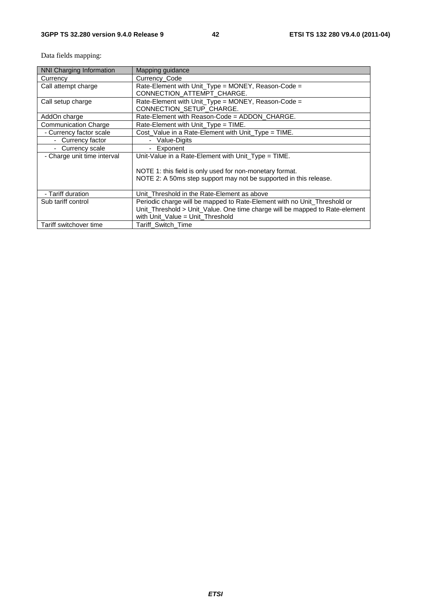Data fields mapping:

| NNI Charging Information    | Mapping guidance                                                            |
|-----------------------------|-----------------------------------------------------------------------------|
| Currency                    | Currency Code                                                               |
| Call attempt charge         | Rate-Element with Unit_Type = MONEY, Reason-Code =                          |
|                             | CONNECTION_ATTEMPT_CHARGE.                                                  |
| Call setup charge           | Rate-Element with Unit_Type = MONEY, Reason-Code =                          |
|                             |                                                                             |
|                             | CONNECTION_SETUP_CHARGE.                                                    |
| AddOn charge                | Rate-Element with Reason-Code = ADDON_CHARGE.                               |
| <b>Communication Charge</b> | Rate-Element with Unit_Type = TIME.                                         |
| - Currency factor scale     | Cost Value in a Rate-Element with Unit Type = TIME.                         |
| - Currency factor           | - Value-Digits                                                              |
| - Currency scale            | Exponent<br>$\sim$                                                          |
| - Charge unit time interval | Unit-Value in a Rate-Element with Unit_Type = TIME.                         |
|                             |                                                                             |
|                             | NOTE 1: this field is only used for non-monetary format.                    |
|                             | NOTE 2: A 50ms step support may not be supported in this release.           |
|                             |                                                                             |
| - Tariff duration           | Unit Threshold in the Rate-Element as above                                 |
| Sub tariff control          | Periodic charge will be mapped to Rate-Element with no Unit_Threshold or    |
|                             | Unit_Threshold > Unit_Value. One time charge will be mapped to Rate-element |
|                             | with Unit_Value = Unit_Threshold                                            |
| Tariff switchover time      | Tariff Switch Time                                                          |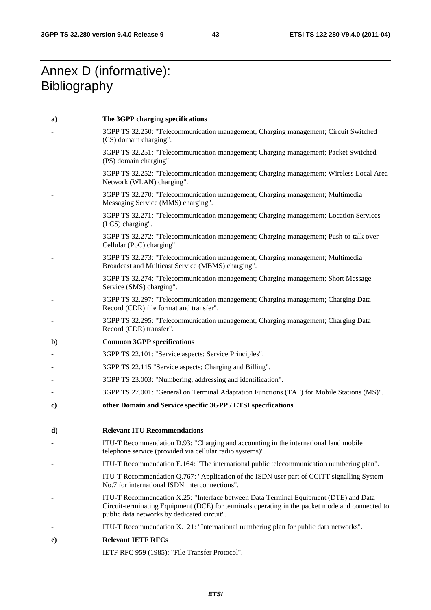# Annex D (informative): **Bibliography**

| a)           | The 3GPP charging specifications                                                                                                                                                                                                       |
|--------------|----------------------------------------------------------------------------------------------------------------------------------------------------------------------------------------------------------------------------------------|
|              | 3GPP TS 32.250: "Telecommunication management; Charging management; Circuit Switched<br>(CS) domain charging".                                                                                                                         |
|              | 3GPP TS 32.251: "Telecommunication management; Charging management; Packet Switched<br>(PS) domain charging".                                                                                                                          |
|              | 3GPP TS 32.252: "Telecommunication management; Charging management; Wireless Local Area<br>Network (WLAN) charging".                                                                                                                   |
|              | 3GPP TS 32.270: "Telecommunication management; Charging management; Multimedia<br>Messaging Service (MMS) charging".                                                                                                                   |
|              | 3GPP TS 32.271: "Telecommunication management; Charging management; Location Services<br>(LCS) charging".                                                                                                                              |
|              | 3GPP TS 32.272: "Telecommunication management; Charging management; Push-to-talk over<br>Cellular (PoC) charging".                                                                                                                     |
|              | 3GPP TS 32.273: "Telecommunication management; Charging management; Multimedia<br>Broadcast and Multicast Service (MBMS) charging".                                                                                                    |
|              | 3GPP TS 32.274: "Telecommunication management; Charging management; Short Message<br>Service (SMS) charging".                                                                                                                          |
|              | 3GPP TS 32.297: "Telecommunication management; Charging management; Charging Data<br>Record (CDR) file format and transfer".                                                                                                           |
|              | 3GPP TS 32.295: "Telecommunication management; Charging management; Charging Data<br>Record (CDR) transfer".                                                                                                                           |
|              |                                                                                                                                                                                                                                        |
| $\mathbf{b}$ | <b>Common 3GPP specifications</b>                                                                                                                                                                                                      |
|              | 3GPP TS 22.101: "Service aspects; Service Principles".                                                                                                                                                                                 |
|              | 3GPP TS 22.115 "Service aspects; Charging and Billing".                                                                                                                                                                                |
|              | 3GPP TS 23.003: "Numbering, addressing and identification".                                                                                                                                                                            |
|              | 3GPP TS 27.001: "General on Terminal Adaptation Functions (TAF) for Mobile Stations (MS)".                                                                                                                                             |
| C)           | other Domain and Service specific 3GPP / ETSI specifications                                                                                                                                                                           |
| $\mathbf{d}$ | <b>Relevant ITU Recommendations</b>                                                                                                                                                                                                    |
|              | ITU-T Recommendation D.93: "Charging and accounting in the international land mobile<br>telephone service (provided via cellular radio systems)".                                                                                      |
|              | ITU-T Recommendation E.164: "The international public telecommunication numbering plan".                                                                                                                                               |
|              | ITU-T Recommendation Q.767: "Application of the ISDN user part of CCITT signalling System<br>No.7 for international ISDN interconnections".                                                                                            |
|              | ITU-T Recommendation X.25: "Interface between Data Terminal Equipment (DTE) and Data<br>Circuit-terminating Equipment (DCE) for terminals operating in the packet mode and connected to<br>public data networks by dedicated circuit". |
|              | ITU-T Recommendation X.121: "International numbering plan for public data networks".                                                                                                                                                   |
| $\bf e)$     | <b>Relevant IETF RFCs</b>                                                                                                                                                                                                              |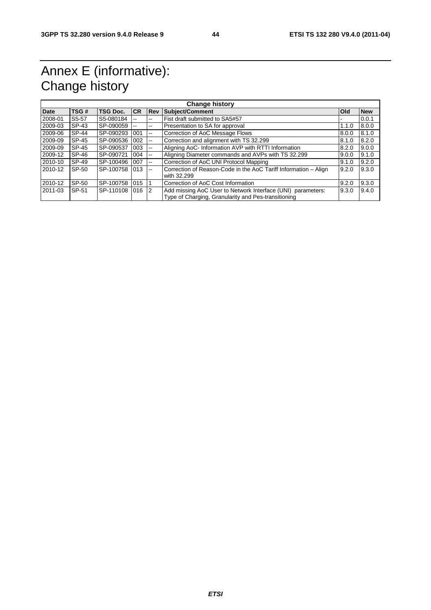# Annex E (informative): Change history

| <b>Change history</b> |                    |                 |           |                          |                                                                                                                    |            |            |
|-----------------------|--------------------|-----------------|-----------|--------------------------|--------------------------------------------------------------------------------------------------------------------|------------|------------|
| <b>Date</b>           | TSG#               | <b>TSG Doc.</b> | <b>CR</b> | <b>Rev</b>               | Subject/Comment                                                                                                    | <b>Old</b> | <b>New</b> |
| 2008-01               | S <sub>5</sub> -57 | S5-080184       |           | $\overline{\phantom{m}}$ | Fist draft submitted to SA5#57                                                                                     |            | 0.0.1      |
| 2009-03               | SP-43              | SP-090059       |           | $\overline{\phantom{a}}$ | Presentation to SA for approval                                                                                    | 1.1.0      | 8.0.0      |
| 2009-06               | SP-44              | SP-090293 1001  |           | $\overline{\phantom{a}}$ | Correction of AoC Message Flows                                                                                    | 8.0.0      | 8.1.0      |
| 2009-09               | SP-45              | SP-090536 1002  |           | $\overline{\phantom{a}}$ | Correction and alignment with TS 32.299                                                                            | 8.1.0      | 8.2.0      |
| 2009-09               | SP-45              | SP-090537       | 003       | $- -$                    | Aligning AoC- Information AVP with RTTI Information                                                                | 8.2.0      | 9.0.0      |
| 2009-12               | SP-46              | SP-090721       | 004       | $\sim$ $\sim$            | Aligning Diameter commands and AVPs with TS 32.299                                                                 | 9.0.0      | 9.1.0      |
| 2010-10               | SP-49              | SP-100496 007   |           | $\sim$                   | Correction of AoC UNI Protocol Mapping                                                                             | 9.1.0      | 9.2.0      |
| 2010-12               | SP-50              | SP-100758 013   |           | $- -$                    | Correction of Reason-Code in the AoC Tariff Information - Align<br>with 32.299                                     | 9.2.0      | 9.3.0      |
| 2010-12               | SP-50              | SP-100758 015   |           |                          | Correction of AoC Cost Information                                                                                 | 9.2.0      | 9.3.0      |
| 2011-03               | SP-51              | SP-110108 016 2 |           |                          | Add missing AoC User to Network Interface (UNI) parameters:<br>Type of Charging, Granularity and Pes-transitioning | 9.3.0      | 9.4.0      |